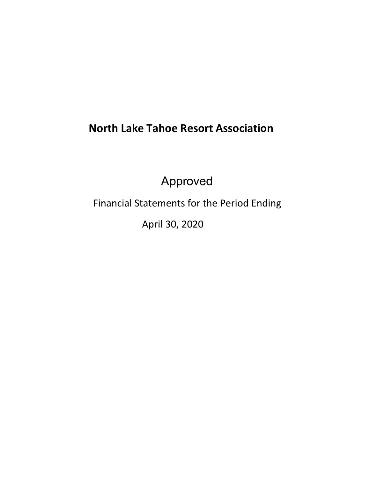# **North Lake Tahoe Resort Association**

Approved

Financial Statements for the Period Ending

April 30, 2020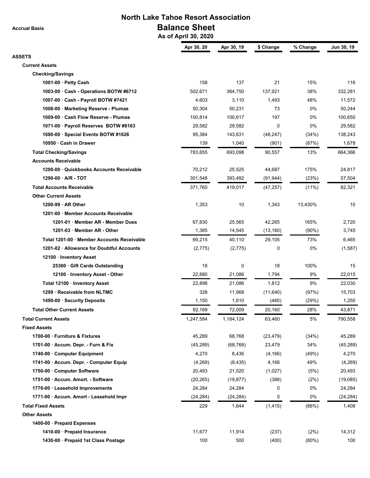**Accrual Basis**

## **North Lake Tahoe Resort Association Balance Sheet**

 **As of April 30, 2020**

|                                           | Apr 30, 20 | Apr 30, 19  | \$ Change | % Change | Jun 30, 19 |
|-------------------------------------------|------------|-------------|-----------|----------|------------|
| <b>ASSETS</b><br><b>Current Assets</b>    |            |             |           |          |            |
| <b>Checking/Savings</b>                   |            |             |           |          |            |
| 1001-00 · Petty Cash                      | 158        | 137         | 21        | 15%      | 116        |
| 1003-00 Cash - Operations BOTW #6712      | 502,671    | 364,750     | 137,921   | 38%      | 332,281    |
| 1007-00 · Cash - Payroll BOTW #7421       | 4,603      | 3,110       | 1,493     | 48%      | 11,572     |
| 1008-00 Marketing Reserve - Plumas        | 50,304     | 50,231      | 73        | 0%       | 50,244     |
| 1009-00 Cash Flow Reserve - Plumas        | 100,814    | 100,617     | 197       | 0%       | 100,650    |
| 1071-00 · Payroll Reserves BOTW #8163     | 29.582     | 29,582      | 0         | 0%       | 29,582     |
| 1080-00 Special Events BOTW #1626         | 95,384     | 143,631     | (48, 247) | (34%)    | 138,243    |
| 10950 · Cash in Drawer                    | 139        | 1,040       | (901)     | (87%)    | 1,678      |
| <b>Total Checking/Savings</b>             | 783,655    | 693,098     | 90,557    | 13%      | 664,366    |
| <b>Accounts Receivable</b>                |            |             |           |          |            |
| 1200-00 Quickbooks Accounts Receivable    | 70,212     | 25,525      | 44,687    | 175%     | 24,817     |
| 1290-00 A/R - TOT                         | 301,548    | 393,492     | (91, 944) | (23%)    | 57,504     |
|                                           |            |             |           |          |            |
| <b>Total Accounts Receivable</b>          | 371,760    | 419,017     | (47, 257) | $(11\%)$ | 82,321     |
| <b>Other Current Assets</b>               |            |             |           |          |            |
| 1200-99 AR Other                          | 1,353      | 10          | 1,343     | 13,430%  | 10         |
| 1201-00 · Member Accounts Receivable      |            |             |           |          |            |
| 1201-01 Member AR - Member Dues           | 67,830     | 25,565      | 42,265    | 165%     | 2,720      |
| 1201-03 Member AR - Other                 | 1,385      | 14,545      | (13, 160) | (90%)    | 3,745      |
| Total 1201-00 Member Accounts Receivable  | 69,215     | 40,110      | 29,105    | 73%      | 6,465      |
| 1201-02 · Allowance for Doubtful Accounts | (2,775)    | (2, 775)    | 0         | 0%       | (1, 587)   |
| 12100 · Inventory Asset                   |            |             |           |          |            |
| 25300 Gift Cards Outstanding              | 18         | $\mathbf 0$ | 18        | 100%     | 15         |
| 12100 · Inventory Asset - Other           | 22,880     | 21,086      | 1,794     | 9%       | 22,015     |
| Total 12100 · Inventory Asset             | 22,898     | 21,086      | 1,812     | 9%       | 22,030     |
| 1299 · Receivable from NLTMC              | 328        | 11,968      | (11, 640) | (97%)    | 15,703     |
| 1490-00 · Security Deposits               | 1,150      | 1,610       | (460)     | (29%)    | 1,250      |
| <b>Total Other Current Assets</b>         | 92,169     | 72,009      | 20,160    | 28%      | 43,871     |
| <b>Total Current Assets</b>               | 1,247,584  | 1,184,124   | 63,460    | 5%       | 790,558    |
| <b>Fixed Assets</b>                       |            |             |           |          |            |
| 1700-00 · Furniture & Fixtures            | 45,289     | 68,768      | (23, 479) | (34%)    | 45,289     |
| 1701-00 · Accum. Depr. - Furn & Fix       | (45, 289)  | (68, 768)   | 23,479    | 34%      | (45, 289)  |
| 1740-00 Computer Equipment                | 4,270      | 8,436       | (4, 166)  | (49%)    | 4,270      |
| 1741-00 · Accum. Depr. - Computer Equip   | (4,269)    | (8, 435)    | 4,166     | 49%      | (4,269)    |
| 1750-00 Computer Software                 | 20,493     | 21,520      | (1,027)   | (5%)     | 20,493     |
| 1751-00 Accum. Amort. - Software          | (20, 265)  | (19, 877)   | (388)     | (2%)     | (19,085)   |
| 1770-00 · Leasehold Improvements          | 24,284     | 24,284      | 0         | 0%       | 24,284     |
| 1771-00 · Accum. Amort - Leasehold Impr   | (24, 284)  | (24, 284)   | 0         | 0%       | (24, 284)  |
| <b>Total Fixed Assets</b>                 | 229        | 1,644       | (1, 415)  | (86%)    | 1,409      |
| <b>Other Assets</b>                       |            |             |           |          |            |
| 1400-00 · Prepaid Expenses                |            |             |           |          |            |
| 1410-00 · Prepaid Insurance               | 11,677     | 11,914      | (237)     | (2%)     | 14,312     |
| 1430-00 · Prepaid 1st Class Postage       | 100        | 500         | (400)     | (80%)    | 100        |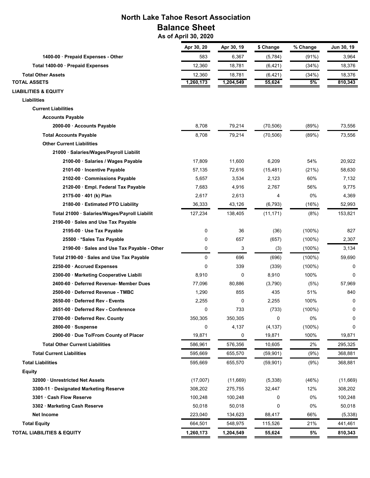## **North Lake Tahoe Resort Association Balance Sheet**

 **As of April 30, 2020**

|                                               | Apr 30, 20 | Apr 30, 19 | \$ Change | % Change  | Jun 30, 19 |
|-----------------------------------------------|------------|------------|-----------|-----------|------------|
| 1400-00 · Prepaid Expenses - Other            | 583        | 6,367      | (5,784)   | (91%)     | 3,964      |
| Total 1400-00 Prepaid Expenses                | 12,360     | 18,781     | (6, 421)  | (34%)     | 18,376     |
| <b>Total Other Assets</b>                     | 12,360     | 18,781     | (6, 421)  | (34%)     | 18,376     |
| <b>TOTAL ASSETS</b>                           | 1,260,173  | 1,204,549  | 55,624    | 5%        | 810,343    |
| <b>LIABILITIES &amp; EQUITY</b>               |            |            |           |           |            |
| Liabilities                                   |            |            |           |           |            |
| <b>Current Liabilities</b>                    |            |            |           |           |            |
| <b>Accounts Payable</b>                       |            |            |           |           |            |
| 2000-00 Accounts Payable                      | 8,708      | 79,214     | (70, 506) | (89%)     | 73,556     |
| <b>Total Accounts Payable</b>                 | 8,708      | 79,214     | (70, 506) | (89%)     | 73,556     |
| <b>Other Current Liabilities</b>              |            |            |           |           |            |
| 21000 · Salaries/Wages/Payroll Liabilit       |            |            |           |           |            |
| 2100-00 · Salaries / Wages Payable            | 17,809     | 11,600     | 6,209     | 54%       | 20,922     |
| 2101-00 Incentive Payable                     | 57,135     | 72,616     | (15, 481) | (21%)     | 58,630     |
| 2102-00 Commissions Payable                   | 5,657      | 3,534      | 2,123     | 60%       | 7,132      |
| 2120-00 · Empl. Federal Tax Payable           | 7,683      | 4,916      | 2,767     | 56%       | 9,775      |
| 2175-00 · 401 (k) Plan                        | 2,617      | 2,613      | 4         | 0%        | 4,369      |
| 2180-00 Estimated PTO Liability               | 36,333     | 43,126     | (6, 793)  | (16%)     | 52,993     |
| Total 21000 · Salaries/Wages/Payroll Liabilit | 127,234    | 138,405    | (11, 171) | (8%)      | 153,821    |
| 2190-00 · Sales and Use Tax Payable           |            |            |           |           |            |
| 2195-00 · Use Tax Payable                     | 0          | 36         | (36)      | (100%)    | 827        |
| 25500 *Sales Tax Payable                      | 0          | 657        | (657)     | $(100\%)$ | 2,307      |
| 2190-00 · Sales and Use Tax Payable - Other   | 0          | 3          | (3)       | $(100\%)$ | 3,134      |
| Total 2190-00 · Sales and Use Tax Payable     | 0          | 696        | (696)     | $(100\%)$ | 59,690     |
| 2250-00 Accrued Expenses                      | 0          | 339        | (339)     | $(100\%)$ | 0          |
| 2300-00 · Marketing Cooperative Liabili       | 8,910      | 0          | 8,910     | 100%      | 0          |
| 2400-60 · Deferred Revenue- Member Dues       | 77,096     | 80,886     | (3,790)   | (5%)      | 57,969     |
| 2500-00 Deferred Revenue - TMBC               | 1,290      | 855        | 435       | 51%       | 840        |
| 2650-00 Deferred Rev - Events                 | 2,255      | 0          | 2,255     | 100%      | 0          |
| 2651-00 Deferred Rev - Conference             | 0          | 733        | (733)     | $(100\%)$ | 0          |
| 2700-00 Deferred Rev. County                  | 350,305    | 350,305    | 0         | 0%        | 0          |
| 2800-00 · Suspense                            | 0          | 4,137      | (4, 137)  | $(100\%)$ | 0          |
| 2900-00 · Due To/From County of Placer        | 19,871     | 0          | 19,871    | 100%      | 19,871     |
| <b>Total Other Current Liabilities</b>        | 586,961    | 576,356    | 10,605    | 2%        | 295,325    |
| <b>Total Current Liabilities</b>              | 595,669    | 655,570    | (59, 901) | (9%)      | 368,881    |
| <b>Total Liabilities</b>                      | 595,669    | 655,570    | (59, 901) | (9%)      | 368,881    |
| <b>Equity</b>                                 |            |            |           |           |            |
| 32000 Unrestricted Net Assets                 | (17,007)   | (11,669)   | (5,338)   | (46%)     | (11,669)   |
| 3300-11 · Designated Marketing Reserve        | 308,202    | 275,755    | 32,447    | 12%       | 308,202    |
| 3301 · Cash Flow Reserve                      | 100,248    | 100,248    | 0         | 0%        | 100,248    |
| 3302 · Marketing Cash Reserve                 | 50,018     | 50,018     | 0         | 0%        | 50,018     |
| Net Income                                    | 223,040    | 134,623    | 88,417    | 66%       | (5,338)    |
| <b>Total Equity</b>                           | 664,501    | 548,975    | 115,526   | 21%       | 441,461    |
| <b>TOTAL LIABILITIES &amp; EQUITY</b>         | 1,260,173  | 1,204,549  | 55,624    | 5%        | 810,343    |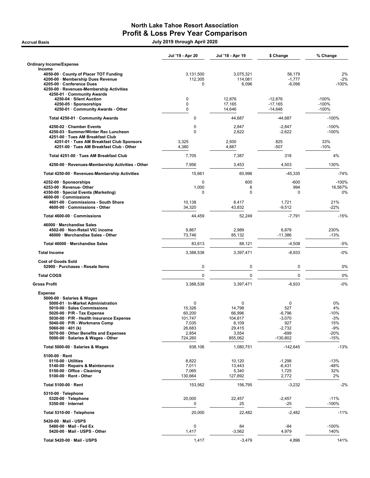### North Lake Tahoe Resort Association Profit & Loss Prev Year Comparison Accrual Basis July 2019 through April 2020

|                                                                               | Jul '19 - Apr 20 | Jul '18 - Apr 19 | \$ Change          | % Change          |
|-------------------------------------------------------------------------------|------------------|------------------|--------------------|-------------------|
| Ordinary Income/Expense                                                       |                  |                  |                    |                   |
| Income<br>4050-00 County of Placer TOT Funding                                | 3,131,500        | 3,075,321        | 56,179             | 2%                |
| 4200-00 · Membership Dues Revenue                                             | 112,305          | 114,081          | $-1,777$           | $-2%$             |
| 4205-00 · Conference Dues                                                     | $\Omega$         | 6,096            | $-6,096$           | $-100%$           |
| 4250-00 · Revenues-Membership Activities<br>4250-01 · Community Awards        |                  |                  |                    |                   |
| 4250-04 · Silent Auction                                                      | $\mathbf 0$      | 12,876           | $-12,876$          | $-100%$           |
| 4250-05 · Sponsorships                                                        | $\mathbf 0$      | 17,165           | $-17,165$          | $-100%$           |
| 4250-01 · Community Awards - Other                                            | $\Omega$         | 14,646           | $-14,646$          | $-100%$           |
| Total 4250-01 · Community Awards                                              | $\mathbf 0$      | 44,687           | $-44,687$          | $-100%$           |
| 4250-02 · Chamber Events                                                      | 0                | 2,847            | $-2,847$           | $-100%$           |
| 4250-03 · Summer/Winter Rec Luncheon                                          | $\mathbf 0$      | 2,622            | $-2,622$           | $-100%$           |
| 4251-00 · Tues AM Breakfast Club<br>4251-01 · Tues AM Breakfast Club Sponsors | 3,325            | 2,500            | 825                | 33%               |
| 4251-00 · Tues AM Breakfast Club - Other                                      | 4,380            | 4,887            | -507               | $-10%$            |
| Total 4251-00 · Tues AM Breakfast Club                                        | 7,705            | 7,387            | 318                | 4%                |
| 4250-00 · Revenues-Membership Activities - Other                              | 7,956            | 3,453            | 4,503              | 130%              |
| Total 4250-00 · Revenues-Membership Activities                                | 15,661           | 60,996           | $-45,335$          | $-74%$            |
| 4252-00 · Sponsorships                                                        | 0                | 600              | -600               | $-100%$           |
| 4253-00 · Revenue- Other                                                      | 1,000            | 6                | 994                | 16,567%           |
| 4350-00 · Special Events (Marketing)<br>4600-00 · Commissions                 | $\Omega$         | $\Omega$         | $\Omega$           | 0%                |
| 4601-00 · Commissions - South Shore                                           | 10,138           | 8,417            | 1,721              | 21%               |
| 4600-00 · Commissions - Other                                                 | 34,320           | 43,832           | $-9,512$           | $-22%$            |
| Total 4600-00 · Commissions                                                   | 44,459           | 52,249           | $-7,791$           | $-15%$            |
| 46000 · Merchandise Sales                                                     |                  |                  |                    |                   |
| 4502-00 · Non-Retail VIC income                                               | 9,867            | 2,989            | 6,878              | 230%              |
| 46000 · Merchandise Sales - Other                                             | 73,746           | 85,132           | $-11,386$          | $-13%$            |
| Total 46000 · Merchandise Sales                                               | 83,613           | 88,121           | $-4,508$           | $-5%$             |
| <b>Total Income</b>                                                           | 3,388,538        | 3,397,471        | $-8,933$           | $-0%$             |
| <b>Cost of Goods Sold</b>                                                     |                  |                  |                    |                   |
| 52900 · Purchases - Resale Items                                              | 0                | 0                | 0                  | 0%                |
| <b>Total COGS</b>                                                             | 0                | $\mathbf 0$      | 0                  | 0%                |
| <b>Gross Profit</b>                                                           | 3,388,538        | 3,397,471        | $-8,933$           | $-0%$             |
| <b>Expense</b>                                                                |                  |                  |                    |                   |
| 5000-00 · Salaries & Wages                                                    | $\mathbf 0$      | $\mathbf 0$      | 0                  | 0%                |
| 5000-01 · In-Market Administration<br>5010-00 · Sales Commissions             | 15,326           | 14,798           | 527                | 4%                |
| $5020-00 \cdot P/R$ - Tax Expense                                             | 60,200           | 66,996           | $-6,796$           | $-10%$            |
| 5030-00 · P/R - Health Insurance Expense                                      | 101.747          | 104,817          | $-3,070$           | -3%               |
| 5040-00 · P/R - Workmans Comp                                                 | 7,035            | 6,109            | 927                | 15%               |
| $5060-00 \cdot 401$ (k)                                                       | 26,683           | 29,415           | $-2,732$           | $-9%$             |
| 5070-00 · Other Benefits and Expenses<br>5000-00 · Salaries & Wages - Other   | 2,854<br>724,260 | 3,554<br>855,062 | -699<br>$-130,802$ | -20%<br>$-15%$    |
| Total 5000-00 · Salaries & Wages                                              | 938.106          | 1,080,751        | $-142,645$         | $-13%$            |
| $5100-00 \cdot$ Rent                                                          |                  |                  |                    |                   |
| $5110-00 \cdot$ Utilities                                                     | 8,822            | 10,120           | $-1,298$           | $-13%$            |
| 5140-00 · Repairs & Maintenance                                               | 7,011            | 13,443           | $-6,431$           | -48%              |
| 5150-00 · Office - Cleaning<br>5100-00 · Rent - Other                         | 7,065<br>130,664 | 5,340<br>127,892 | 1,725<br>2,772     | 32%<br>2%         |
|                                                                               |                  |                  |                    |                   |
| Total 5100-00 · Rent                                                          | 153,562          | 156,795          | $-3,232$           | $-2%$             |
| 5310-00 · Telephone                                                           | 20,000           |                  |                    |                   |
| 5320-00 · Telephone<br>$5350-00$ · Internet                                   | 0                | 22,457<br>25     | $-2,457$<br>-25    | $-11%$<br>$-100%$ |
| Total 5310-00 · Telephone                                                     | 20,000           | 22,482           | $-2,482$           | $-11%$            |
|                                                                               |                  |                  |                    |                   |
| 5420-00 · Mail - USPS<br>5480-00 · Mail - Fed Ex                              | $\pmb{0}$        | 84               | -84                | $-100%$           |
| 5420-00 · Mail - USPS - Other                                                 | 1,417            | $-3,562$         | 4,979              | 140%              |
|                                                                               |                  |                  |                    |                   |
| Total 5420-00 · Mail - USPS                                                   | 1,417            | $-3,479$         | 4,896              | 141%              |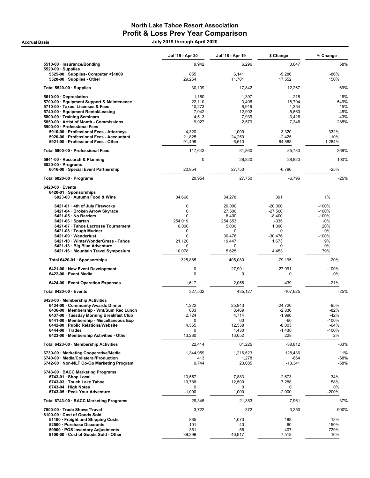### North Lake Tahoe Resort Association Profit & Loss Prev Year Comparison Accrual Basis July 2019 through April 2020

|                                                                                                | Jul '19 - Apr 20           | Jul '18 - Apr 19      | \$ Change          | % Change          |
|------------------------------------------------------------------------------------------------|----------------------------|-----------------------|--------------------|-------------------|
| 5510-00 · Insurance/Bonding                                                                    | 9,942                      | 6,296                 | 3,647              | 58%               |
| $5520-00 \cdot$ Supplies<br>5525-00 · Supplies- Computer <\$1000<br>5520-00 · Supplies - Other | 855<br>29,254              | 6,141<br>11,701       | $-5,286$<br>17,552 | $-86%$<br>150%    |
| Total 5520-00 · Supplies                                                                       | 30,109                     | 17,842                | 12,267             | 69%               |
| 5610-00 Depreciation                                                                           | 1,180                      | 1,397                 | $-218$             | $-16%$            |
| 5700-00 · Equipment Support & Maintenance                                                      | 22,110                     | 3,406                 | 18,704             | 549%              |
| 5710-00 · Taxes, Licenses & Fees                                                               | 10,273                     | 8,919                 | 1,354              | 15%               |
| 5740-00 · Equipment Rental/Leasing                                                             | 7,042                      | 12,902                | $-5.860$           | $-45%$            |
| 5800-00 · Training Seminars                                                                    | 4,513                      | 7,939                 | $-3,426$           | $-43%$            |
| 5850-00 · Artist of Month - Commissions                                                        | 9,927                      | 2,579                 | 7,348              | 285%              |
| 5900-00 · Professional Fees                                                                    |                            |                       |                    |                   |
| 5910-00 · Professional Fees - Attorneys<br>5920-00 · Professional Fees - Accountant            | 4,320<br>21,825            | 1,000<br>24,250       | 3,320<br>$-2,425$  | 332%<br>$-10%$    |
| 5921-00 · Professional Fees - Other                                                            | 91,498                     | 6,610                 | 84,888             | 1,284%            |
| Total 5900-00 · Professional Fees                                                              | 117,643                    | 31,860                | 85,783             | 269%              |
|                                                                                                | 0                          | 28,820                | $-28,820$          | $-100%$           |
| 5941-00 · Research & Planning<br>$6020-00 \cdot$ Programs                                      |                            |                       |                    |                   |
| 6016-00 · Special Event Partnership                                                            | 20,954                     | 27,750                | $-6,796$           | $-25%$            |
| Total 6020-00 · Programs                                                                       | 20,954                     | 27,750                | $-6,796$           | $-25%$            |
| $6420-00 \cdot$ Events                                                                         |                            |                       |                    |                   |
| 6420-01 · Sponsorships<br>6023-00 · Autumn Food & Wine                                         | 34,668                     | 34,278                | 391                | 1%                |
| 6421-01 · 4th of July Fireworks                                                                | $\mathbf 0$                | 20,000                | $-20,000$          | $-100%$           |
| 6421-04 · Broken Arrow Skyrace                                                                 | $\mathbf 0$                | 27,500                | $-27,500$          | $-100%$           |
| 6421-05 · No Barriers                                                                          | $\Omega$                   | 8,400                 | $-8,400$           | $-100%$           |
| $6421-06 \cdot$ Spartan                                                                        | 254,019                    | 254,353               | $-335$             | -0%               |
| 6421-07 · Tahoe Lacrosse Tournament                                                            | 6,000                      | 5,000                 | 1,000              | 20%               |
| 6421-08 · Tough Mudder<br>$6421-09 \cdot Wanderlust$                                           | $\mathbf 0$<br>$\mathbf 0$ | $\mathbf 0$<br>30,476 | $\Omega$           | 0%                |
| 6421-10 · WinterWonderGrass - Tahoe                                                            | 21,120                     | 19,447                | $-30,476$<br>1,673 | $-100%$<br>9%     |
| 6421-13 · Big Blue Adventure                                                                   | 0                          | $\mathbf 0$           | 0                  | 0%                |
| 6421-16 · Mountain Travel Symposium                                                            | 10,078                     | 5,625                 | 4,453              | 79%               |
| Total 6420-01 · Sponsorships                                                                   | 325,885                    | 405,080               | -79,195            | $-20%$            |
| 6421-00 · New Event Development<br>6422-00 · Event Media                                       | 0<br>0                     | 27,991<br>0           | $-27,991$<br>0     | $-100%$<br>0%     |
| 6424-00 · Event Operation Expenses                                                             | 1,617                      | 2,056                 | -439               | $-21%$            |
| Total 6420-00 · Events                                                                         | 327,502                    | 435,127               | $-107,625$         | $-25%$            |
| 6423-00 · Membership Activities                                                                |                            |                       |                    |                   |
| 6434-00 · Community Awards Dinner                                                              | 1,222                      | 25,943                | $-24,720$          | -95%              |
| 6436-00 · Membership - Wnt/Sum Rec Lunch<br>6437-00 · Tuesday Morning Breakfast Club           | 633                        | 3,469                 | $-2,836$           | $-82%$            |
| 6441-00 · Membership - Miscellaneous Exp                                                       | 2,724<br>0                 | 4,714<br>60           | $-1,990$<br>-60    | -42%<br>$-100%$   |
| 6442-00 · Public Relations/Website                                                             | 4,555                      | 12,558                | $-8,003$           | $-64%$            |
| $6444-00 \cdot Trades$                                                                         | 0                          | 1,430                 | $-1,430$           | $-100%$           |
| 6423-00 · Membership Activities - Other                                                        | 13,280                     | 13,052                | 228                | 2%                |
| Total 6423-00 · Membership Activities                                                          | 22,414                     | 61,225                | $-38,812$          | $-63%$            |
| 6730-00 · Marketing Cooperative/Media                                                          | 1,344,959                  | 1,216,523             | 128,436            | 11%               |
| 6740-00 · Media/Collateral/Production<br>6742-00 · Non-NLT Co-Op Marketing Program             | 413<br>9,744               | 1,278<br>23,085       | $-864$<br>-13,341  | -68%<br>$-58%$    |
| 6743-00 · BACC Marketing Programs                                                              |                            |                       |                    |                   |
| 6743-01 · Shop Local                                                                           | 10,557                     | 7,883                 | 2,673              | 34%               |
| 6743-03 · Touch Lake Tahoe                                                                     | 19,788                     | 12,500                | 7,288              | 58%               |
| $6743-04 \cdot$ High Notes<br>6743-05 · Peak Your Adventure                                    | 0<br>$-1,000$              | 0<br>1,000            | 0<br>$-2,000$      | 0%<br>$-200%$     |
| Total 6743-00 · BACC Marketing Programs                                                        | 29,345                     | 21,383                | 7,961              | 37%               |
| 7500-00 · Trade Shows/Travel                                                                   | 3,722                      | 372                   | 3,350              | 900%              |
| 8100-00 · Cost of Goods Sold                                                                   |                            |                       |                    |                   |
| 51100 · Freight and Shipping Costs<br>52500 · Purchase Discounts                               | 885<br>$-101$              | 1,073<br>-40          | $-188$<br>$-60$    | $-18%$<br>$-150%$ |
| 59900 · POS Inventory Adjustments                                                              | 351                        | -56                   | 407                | 729%              |
| 8100-00 · Cost of Goods Sold - Other                                                           | 39,399                     | 46,917                | $-7,518$           | $-16%$            |
|                                                                                                |                            |                       |                    |                   |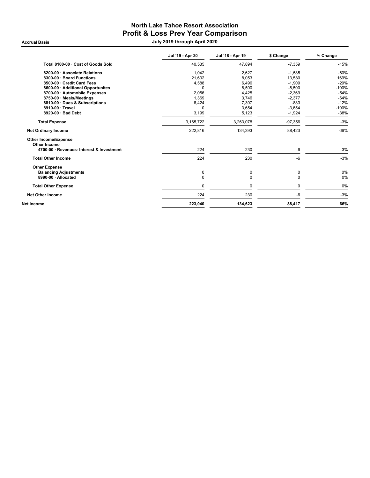## North Lake Tahoe Resort Association Profit & Loss Prev Year Comparison

Accrual Basis July 2019 through April 2020

|                                             | Jul '19 - Apr 20 | Jul '18 - Apr 19 | \$ Change | % Change |
|---------------------------------------------|------------------|------------------|-----------|----------|
| Total 8100-00 · Cost of Goods Sold          | 40,535           | 47,894           | $-7,359$  | $-15%$   |
| 8200-00 · Associate Relations               | 1,042            | 2,627            | $-1,585$  | $-60%$   |
| 8300-00 · Board Functions                   | 21,632           | 8,053            | 13,580    | 169%     |
| 8500-00 · Credit Card Fees                  | 4,588            | 6,496            | $-1,909$  | $-29%$   |
| 8600-00 · Additional Opportunites           | O                | 8,500            | $-8,500$  | $-100%$  |
| 8700-00 · Automobile Expenses               | 2,056            | 4,425            | $-2,369$  | $-54%$   |
| 8750-00 · Meals/Meetings                    | 1,369            | 3,746            | $-2,377$  | $-64%$   |
| 8810-00 · Dues & Subscriptions              | 6,424            | 7,307            | $-883$    | $-12%$   |
| 8910-00 · Travel                            | 0                | 3,654            | $-3,654$  | $-100%$  |
| 8920-00 · Bad Debt                          | 3,199            | 5,123            | $-1,924$  | $-38%$   |
| <b>Total Expense</b>                        | 3,165,722        | 3,263,078        | $-97,356$ | $-3%$    |
| <b>Net Ordinary Income</b>                  | 222,816          | 134,393          | 88,423    | 66%      |
| <b>Other Income/Expense</b><br>Other Income |                  |                  |           |          |
| 4700-00 · Revenues- Interest & Investment   | 224              | 230              | $-6$      | $-3%$    |
| <b>Total Other Income</b>                   | 224              | 230              | $-6$      | $-3%$    |
| <b>Other Expense</b>                        |                  |                  |           |          |
| <b>Balancing Adjustments</b>                | 0                | 0                | 0         | 0%       |
| 8990-00 · Allocated                         | 0                | 0                | 0         | 0%       |
| <b>Total Other Expense</b>                  | 0                | 0                | 0         | 0%       |
| <b>Net Other Income</b>                     | 224              | 230              | -6        | $-3%$    |
| Net Income                                  | 223,040          | 134,623          | 88,417    | 66%      |
|                                             |                  |                  |           |          |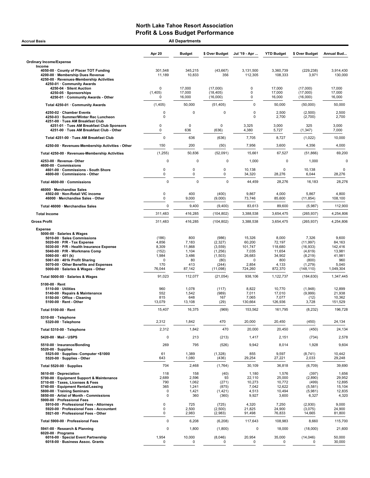| <b>All Departments</b><br><b>Accrual Basis</b>                                                                                                                                                                                                                                                                                                |                                                                    |                                                                |                                                                       |                                                                         |                                                                           |                                                                                |                                                                           |  |
|-----------------------------------------------------------------------------------------------------------------------------------------------------------------------------------------------------------------------------------------------------------------------------------------------------------------------------------------------|--------------------------------------------------------------------|----------------------------------------------------------------|-----------------------------------------------------------------------|-------------------------------------------------------------------------|---------------------------------------------------------------------------|--------------------------------------------------------------------------------|---------------------------------------------------------------------------|--|
|                                                                                                                                                                                                                                                                                                                                               | <b>Apr 20</b>                                                      | <b>Budget</b>                                                  | \$ Over Budget                                                        | Jul '19 - Apr                                                           | <b>YTD Budget</b>                                                         | \$ Over Budget                                                                 | Annual Bud                                                                |  |
| <b>Ordinary Income/Expense</b>                                                                                                                                                                                                                                                                                                                |                                                                    |                                                                |                                                                       |                                                                         |                                                                           |                                                                                |                                                                           |  |
| Income<br>4050-00 County of Placer TOT Funding<br>4200-00 · Membership Dues Revenue<br>4250-00 · Revenues-Membership Activities<br>4250-01 · Community Awards                                                                                                                                                                                 | 301,548<br>11,189                                                  | 345,215<br>10,833                                              | (43, 667)<br>356                                                      | 3,131,500<br>112.305                                                    | 3,360,739<br>108,333                                                      | (229, 238)<br>3,971                                                            | 3,914,430<br>130,000                                                      |  |
| 4250-04 · Silent Auction<br>4250-05 · Sponsorships<br>4250-01 Community Awards - Other                                                                                                                                                                                                                                                        | 0<br>(1, 405)<br>0                                                 | 17,000<br>17,000<br>16,000                                     | (17,000)<br>(18, 405)<br>(16,000)                                     | $\mathbf 0$<br>0<br>0                                                   | 17,000<br>17,000<br>16,000                                                | (17,000)<br>(17,000)<br>(16,000)                                               | 17,000<br>17,000<br>16,000                                                |  |
|                                                                                                                                                                                                                                                                                                                                               |                                                                    |                                                                |                                                                       |                                                                         |                                                                           |                                                                                |                                                                           |  |
| Total 4250-01 · Community Awards                                                                                                                                                                                                                                                                                                              | (1, 405)                                                           | 50,000                                                         | (51, 405)                                                             | $\mathbf 0$                                                             | 50,000                                                                    | (50,000)                                                                       | 50,000                                                                    |  |
| 4250-02 · Chamber Events<br>4250-03 · Summer/Winter Rec Luncheon<br>4251-00 · Tues AM Breakfast Club                                                                                                                                                                                                                                          | 0<br>$\mathbf 0$                                                   | 0                                                              | $\mathbf 0$                                                           | $\mathbf 0$<br>0                                                        | 2,500<br>2,700                                                            | (2,500)<br>(2,700)                                                             | 2,500<br>2,700                                                            |  |
| 4251-01 · Tues AM Breakfast Club Sponsors<br>4251-00 · Tues AM Breakfast Club - Other                                                                                                                                                                                                                                                         | 0<br>0                                                             | $\mathbf 0$<br>636                                             | 0<br>(636)                                                            | 3,325<br>4,380                                                          | 3,000<br>5,727                                                            | 325<br>(1, 347)                                                                | 3,000<br>7,000                                                            |  |
| Total 4251-00 · Tues AM Breakfast Club                                                                                                                                                                                                                                                                                                        | $\mathbf 0$                                                        | 636                                                            | (636)                                                                 | 7,705                                                                   | 8,727                                                                     | (1,022)                                                                        | 10,000                                                                    |  |
| 4250-00 · Revenues-Membership Activities - Other                                                                                                                                                                                                                                                                                              | 150                                                                | 200                                                            | (50)                                                                  | 7,956                                                                   | 3,600                                                                     | 4,356                                                                          | 4,000                                                                     |  |
| Total 4250-00 · Revenues-Membership Activities                                                                                                                                                                                                                                                                                                | (1, 255)                                                           | 50,836                                                         | (52,091)                                                              | 15,661                                                                  | 67,527                                                                    | (51, 866)                                                                      | 69,200                                                                    |  |
| 4253-00 · Revenue-Other<br>4600-00 Commissions<br>4601-00 Commissions - South Shore                                                                                                                                                                                                                                                           | $\Omega$<br>0                                                      | $\Omega$<br>0                                                  | $\Omega$<br>$\mathbf 0$                                               | 1,000                                                                   | 0<br>0                                                                    | 1,000<br>10,138                                                                | 0                                                                         |  |
| 4600-00 · Commissions - Other                                                                                                                                                                                                                                                                                                                 | 0                                                                  | $\mathbf 0$                                                    | $\mathbf 0$                                                           | 10,138<br>34,320                                                        | 28,276                                                                    | 6,044                                                                          | 28,276                                                                    |  |
| Total 4600-00 · Commissions                                                                                                                                                                                                                                                                                                                   | $\mathbf 0$                                                        | $\Omega$                                                       | $\mathbf 0$                                                           | 44,459                                                                  | 28,276                                                                    | 16,183                                                                         | 28,276                                                                    |  |
| 46000 · Merchandise Sales<br>4502-00 · Non-Retail VIC income<br>46000 · Merchandise Sales - Other                                                                                                                                                                                                                                             | 0<br>0                                                             | 400<br>9,000                                                   | (400)<br>(9,000)                                                      | 9,867<br>73,746                                                         | 4,000<br>85,600                                                           | 5,867<br>(11, 854)                                                             | 4,800<br>108,100                                                          |  |
| Total 46000 · Merchandise Sales                                                                                                                                                                                                                                                                                                               | 0                                                                  | 9,400                                                          | (9,400)                                                               | 83,613                                                                  | 89,600                                                                    | (5,987)                                                                        | 112,900                                                                   |  |
| <b>Total Income</b>                                                                                                                                                                                                                                                                                                                           | 311,483                                                            | 416,285                                                        | (104, 802)                                                            | 3,388,538                                                               | 3,654,475                                                                 | (265, 937)                                                                     | 4,254,806                                                                 |  |
| <b>Gross Profit</b>                                                                                                                                                                                                                                                                                                                           | 311,483                                                            | 416,285                                                        | (104, 802)                                                            | 3,388,538                                                               | 3,654,475                                                                 | (265, 937)                                                                     | 4,254,806                                                                 |  |
| 5000-00 · Salaries & Wages<br>5010-00 · Sales Commissions<br>5020-00 · P/R - Tax Expense<br>5030-00 · P/R - Health Insurance Expense<br>5040-00 · P/R - Workmans Comp<br>5060-00 $\cdot$ 401 (k)<br>5061-00 · 401k Profit Sharing<br>5070-00 · Other Benefits and Expenses                                                                    | (186)<br>4,856<br>8,309<br>(152)<br>1,984<br>$\Omega$<br>170       | 800<br>7,183<br>11,868<br>1,104<br>3,486<br>80<br>413          | (986)<br>(2, 327)<br>(3, 559)<br>(1, 256)<br>(1,503)<br>(80)<br>(244) | 15,326<br>60,200<br>101,747<br>7,035<br>26,683<br>$\mathbf 0$<br>2,854  | 8,000<br>72,197<br>118,680<br>11,654<br>34,902<br>800<br>4,133            | 7,326<br>(11, 997)<br>(16, 933)<br>(4,619)<br>(8, 219)<br>(800)<br>(1, 279)    | 9,600<br>84,163<br>142,416<br>13,981<br>41,981<br>960<br>5,040            |  |
| 5000-00 · Salaries & Wages - Other<br>Total 5000-00 · Salaries & Wages                                                                                                                                                                                                                                                                        | 76,044<br>91,023                                                   | 87,142<br>112,077                                              | (11,098)<br>(21, 054)                                                 | 724,260<br>938,106                                                      | 872,370<br>1,122,737                                                      | (148, 110)<br>(184, 630)                                                       | 1,049,304<br>1,347,445                                                    |  |
| $5100-00 \cdot$ Rent<br>$5110-00 \cdot$ Utilities<br>5140-00 · Repairs & Maintenance<br>5150-00 Office - Cleaning<br>$5100-00 \cdot$ Rent - Other                                                                                                                                                                                             | 960<br>552<br>815<br>13,079                                        | 1,078<br>1,542<br>648<br>13,108                                | (117)<br>(989)<br>167<br>(29)                                         | 8,822<br>7,011<br>7,065<br>130,664                                      | 10,770<br>17,010<br>7,077<br>126,936                                      | (1,948)<br>(9,999)<br>(12)<br>3,728                                            | 12,899<br>21,938<br>10,362<br>151,529                                     |  |
| Total 5100-00 · Rent                                                                                                                                                                                                                                                                                                                          | 15,407                                                             | 16,375                                                         | (969)                                                                 | 153,562                                                                 | 161,795                                                                   | (8, 232)                                                                       | 196,728                                                                   |  |
| 5310-00 · Telephone<br>5320-00 · Telephone                                                                                                                                                                                                                                                                                                    | 2,312                                                              | 1,842                                                          | 470                                                                   | 20,000                                                                  | 20,450                                                                    | (450)                                                                          | 24,134                                                                    |  |
| Total 5310-00 · Telephone                                                                                                                                                                                                                                                                                                                     | 2,312                                                              | 1,842                                                          | 470                                                                   | 20,000                                                                  | 20,450                                                                    | (450)                                                                          | 24,134                                                                    |  |
| 5420-00 · Mail - USPS                                                                                                                                                                                                                                                                                                                         | 0                                                                  | 213                                                            | (213)                                                                 | 1,417                                                                   | 2,151                                                                     | (734)                                                                          | 2,578                                                                     |  |
| 5510-00 · Insurance/Bonding<br>$5520-00 \cdot$ Supplies                                                                                                                                                                                                                                                                                       | 269                                                                | 795                                                            | (526)                                                                 | 9,942                                                                   | 8,014                                                                     | 1,928                                                                          | 9,604                                                                     |  |
| 5525-00 · Supplies- Computer <\$1000<br>5520-00 · Supplies - Other                                                                                                                                                                                                                                                                            | 61<br>643                                                          | 1,389<br>1,080                                                 | (1, 328)<br>(436)                                                     | 855<br>29,254                                                           | 9,597<br>27,221                                                           | (8,741)<br>2,033                                                               | 10,442<br>29,248                                                          |  |
| Total 5520-00 · Supplies                                                                                                                                                                                                                                                                                                                      | 704                                                                | 2,468                                                          | (1,764)                                                               | 30,109                                                                  | 36,818                                                                    | (6,709)                                                                        | 39,690                                                                    |  |
| 5610-00 · Depreciation<br>5700-00 · Equipment Support & Maintenance<br>5710-00 · Taxes, Licenses & Fees<br>5740-00 · Equipment Rental/Leasing<br>5800-00 · Training Seminars<br>5850-00 · Artist of Month - Commissions<br>5900-00 · Professional Fees<br>5910-00 · Professional Fees - Attorneys<br>5920-00 · Professional Fees - Accountant | 118<br>2,689<br>790<br>365<br>0<br>$\mathbf 0$<br>$\mathbf 0$<br>0 | 158<br>2,596<br>1,062<br>1,241<br>1,421<br>360<br>725<br>2,500 | (40)<br>93<br>(271)<br>(875)<br>(1,421)<br>(360)<br>(725)<br>(2,500)  | 1,180<br>22,110<br>10,273<br>7,042<br>4,513<br>9,927<br>4,320<br>21,825 | 1,576<br>25,000<br>10,772<br>12,622<br>10,494<br>3,600<br>7,250<br>24,900 | (397)<br>(2,890)<br>(499)<br>(5,581)<br>(5,981)<br>6,327<br>(2,930)<br>(3,075) | 1,656<br>29,952<br>12,895<br>15,104<br>12,835<br>4,320<br>9,000<br>24,900 |  |
| 5921-00 · Professional Fees - Other                                                                                                                                                                                                                                                                                                           | 0                                                                  | 2,983                                                          | (2,983)                                                               | 91,498                                                                  | 76,833                                                                    | 14,665                                                                         | 81,800                                                                    |  |
| Total 5900-00 · Professional Fees                                                                                                                                                                                                                                                                                                             | $\mathbf 0$                                                        | 6,208                                                          | (6,208)                                                               | 117,643                                                                 | 108,983                                                                   | 8,660                                                                          | 115,700                                                                   |  |
| 5941-00 · Research & Planning<br>$6020-00 \cdot$ Programs                                                                                                                                                                                                                                                                                     | 0                                                                  | 1,800                                                          | (1,800)                                                               | 0                                                                       | 18,000                                                                    | (18,000)                                                                       | 21,600                                                                    |  |
| 6016-00 · Special Event Partnership<br>6018-00 · Business Assoc. Grants                                                                                                                                                                                                                                                                       | 1,954<br>0                                                         | 10,000<br>0                                                    | (8,046)<br>$\mathbf 0$                                                | 20,954<br>0                                                             | 35,000<br>0                                                               | (14, 046)<br>0                                                                 | 50,000<br>30,000                                                          |  |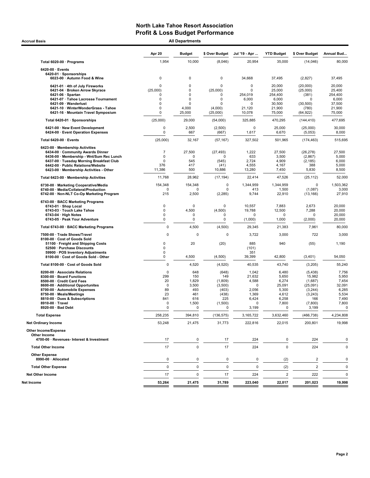Accrual Basis **All Departments** All Departments and the set of the set of the set of the set of the set of the set of the set of the set of the set of the set of the set of the set of the set of the set of the set of the s

| <b>\II Departments</b> |  |  |
|------------------------|--|--|
|                        |  |  |

|                                                                                    | Apr 20              | <b>Budget</b>              | \$ Over Budget      | Jul '19 - Apr        | <b>YTD Budget</b>       | \$ Over Budget       | Annual Bud       |
|------------------------------------------------------------------------------------|---------------------|----------------------------|---------------------|----------------------|-------------------------|----------------------|------------------|
| Total 6020-00 · Programs                                                           | 1,954               | 10,000                     | (8,046)             | 20,954               | 35,000                  | (14,046)             | 80,000           |
| $6420-00 \cdot$ Events                                                             |                     |                            |                     |                      |                         |                      |                  |
| 6420-01 · Sponsorships<br>6023-00 · Autumn Food & Wine                             | 0                   | 0                          | 0                   | 34,668               | 37,495                  | (2,827)              | 37,495           |
| 6421-01 · 4th of July Fireworks                                                    | $\Omega$            | $\mathbf 0$                | $\Omega$            | 0                    | 20,000                  | (20,000)             | 20,000           |
| 6421-04 · Broken Arrow Skyrace                                                     | (25,000)            | $\mathbf 0$                | (25,000)            | 0                    | 25,000                  | (25,000)             | 25,400           |
| $6421-06 \cdot$ Spartan<br>6421-07 · Tahoe Lacrosse Tournament                     | $\Omega$<br>0       | $\mathbf 0$<br>$\mathbf 0$ | 0<br>0              | 254,019<br>6,000     | 254,400<br>6,000        | (381)<br>$\Omega$    | 254,400<br>6,000 |
| 6421-09 · Wanderlust                                                               | $\mathbf 0$         | $\mathbf 0$                | $\Omega$            | 0                    | 30,500                  | (30, 500)            | 37,500           |
| 6421-10 · WinterWonderGrass - Tahoe                                                | 0                   | 4,000                      | (4,000)             | 21,120               | 21,900                  | (780)                | 21,900           |
| 6421-16 · Mountain Travel Symposium                                                | 0                   | 25,000                     | (25,000)            | 10,078               | 75,000                  | (64,922)             | 75,000           |
| Total 6420-01 · Sponsorships                                                       | (25,000)            | 29,000                     | (54,000)            | 325,885              | 470,295                 | (144, 410)           | 477,695          |
| 6421-00 · New Event Development<br>6424-00 · Event Operation Expenses              | 0<br>0              | 2,500<br>667               | (2,500)<br>(667)    | $\mathbf 0$<br>1,617 | 25,000<br>6,670         | (25,000)<br>(5,053)  | 30,000<br>8,000  |
| Total 6420-00 · Events                                                             | (25,000)            | 32,167                     | (57, 167)           | 327,502              | 501,965                 | (174, 463)           | 515,695          |
| 6423-00 · Membership Activities                                                    |                     |                            |                     |                      |                         |                      |                  |
| 6434-00 · Community Awards Dinner<br>6436-00 · Membership - Wnt/Sum Rec Lunch      | $\overline{7}$<br>0 | 27,500<br>0                | (27, 493)<br>O      | 1,222<br>633         | 27,500<br>3,500         | (26, 278)<br>(2,867) | 27,500<br>5,000  |
| 6437-00 · Tuesday Morning Breakfast Club                                           | 0                   | 545                        | (545)               | 2,724                | 4,909                   | (2, 185)             | 6,000            |
| 6442-00 · Public Relations/Website                                                 | 376                 | 417                        | (41)                | 4,555                | 4,167                   | 388                  | 5,000            |
| 6423-00 · Membership Activities - Other                                            | 11,386              | 500                        | 10,886              | 13,280               | 7,450                   | 5,830                | 8,500            |
| Total 6423-00 · Membership Activities                                              | 11,768              | 28,962                     | (17, 194)           | 22,414               | 47,526                  | (25, 112)            | 52,000           |
| 6730-00 · Marketing Cooperative/Media                                              | 154,348             | 154,348                    | 0                   | 1,344,959            | 1,344,959               | $\pmb{0}$            | 1,503,362        |
| 6740-00 · Media/Collateral/Production<br>6742 00 · Non-NLT Co-Op Marketing Program | 0<br>215            | $\Omega$<br>2,500          | O<br>(2, 285)       | 413<br>9,744         | 1,500<br>22,910         | (1,087)<br>(13, 166) | 3,000<br>27,910  |
| 6743-00 · BACC Marketing Programs                                                  |                     |                            |                     |                      |                         |                      |                  |
| 6743-01 · Shop Local<br>6743-03 · Touch Lake Tahoe                                 | 0<br>0              | 0<br>4,500                 | $\Omega$<br>(4,500) | 10,557<br>19,788     | 7,883<br>12,500         | 2,673<br>7,288       | 20,000<br>20,000 |
| $6743-04 \cdot$ High Notes                                                         | 0                   | 0                          | O                   | $\Omega$             | 0                       | $\Omega$             | 20,000           |
| 6743-05 · Peak Your Adventure                                                      | 0                   | 0                          | $\mathbf 0$         | (1,000)              | 1,000                   | (2,000)              | 20,000           |
| Total 6743-00 · BACC Marketing Programs                                            | 0                   | 4,500                      | (4,500)             | 29,345               | 21,383                  | 7,961                | 80,000           |
| 7500-00 · Trade Shows/Travel<br>8100-00 · Cost of Goods Sold                       | 0                   | $\Omega$                   | $\Omega$            | 3,722                | 3,000                   | 722                  | 3,000            |
| 51100 · Freight and Shipping Costs                                                 | 0                   | 20                         | (20)                | 885                  | 940                     | (55)                 | 1,190            |
| 52500 · Purchase Discounts                                                         | 0                   |                            |                     | (101)                |                         |                      |                  |
| 59900 · POS Inventory Adjustments                                                  | 0<br>0              | 4,500                      | (4,500)             | 351<br>39,399        | 42,800                  | (3, 401)             | 54,050           |
| 8100-00 · Cost of Goods Sold - Other<br>Total 8100-00 · Cost of Goods Sold         | 0                   | 4,520                      |                     | 40,535               | 43,740                  |                      | 55,240           |
|                                                                                    | 0                   | 648                        | (4,520)<br>(648)    | 1,042                | 6,480                   | (3,205)<br>(5, 438)  | 7,756            |
| 8200-00 · Associate Relations<br>8300-00 · Board Functions                         | 299                 | 150                        | 149                 | 21,632               | 5,650                   | 15,982               | 5,950            |
| 8500-00 · Credit Card Fees                                                         | 20                  | 1,829                      | (1,809)             | 4,588                | 6,274                   | (1,687)              | 7,454            |
| 8600-00 · Additional Opportunites                                                  | $\mathbf 0$         | 3,500                      | (3,500)             | $\Omega$             | 25,091                  | (25,091)             | 32,091           |
| 8700-00 · Automobile Expenses                                                      | 89                  | 493                        | (403)               | 2,056                | 5,300                   | (3,244)              | 6,285            |
| 8750-00 · Meals/Meetings<br>8810-00 · Dues & Subscriptions                         | 23<br>841           | 461<br>616                 | (438)<br>225        | 1,369<br>6,424       | 4,612<br>6,258          | (3,243)<br>166       | 5,534<br>7,490   |
| 8910-00 · Travel                                                                   | 0                   | 1,500                      | (1,500)             | 0                    | 7,800                   | (7,800)              | 7,800            |
| 8920-00 · Bad Debt                                                                 | 0                   | $\mathbf 0$                | 0                   | 3,199                | $\mathbf 0$             | 3,199                | $\mathbf 0$      |
| <b>Total Expense</b>                                                               | 258,235             | 394,810                    | (136, 575)          | 3,165,722            | 3,632,460               | (466, 738)           | 4,234,808        |
| <b>Net Ordinary Income</b>                                                         | 53,248              | 21,475                     | 31,773              | 222,816              | 22,015                  | 200,801              | 19,998           |
| Other Income/Expense<br>Other Income                                               |                     |                            |                     |                      |                         |                      |                  |
| 4700-00 · Revenues- Interest & Investment                                          | 17                  | 0                          | 17                  | 224                  | 0                       | 224                  | 0                |
| <b>Total Other Income</b>                                                          | 17                  | $\mathbf 0$                | 17                  | 224                  | $\mathbf 0$             | 224                  | 0                |
| <b>Other Expense</b><br>8990-00 · Allocated                                        | 0                   | 0                          | 0                   | 0                    | (2)                     | $\overline{c}$       | 0                |
| <b>Total Other Expense</b>                                                         | 0                   | 0                          | 0                   | 0                    | (2)                     | $\boldsymbol{2}$     | 0                |
| <b>Net Other Income</b>                                                            | 17                  | $\mathbf 0$                | 17                  | 224                  | $\overline{\mathbf{c}}$ | 222                  | 0                |
| Net Income                                                                         | 53,264              | 21,475                     | 31,789              | 223,040              | 22,017                  | 201,023              | 19,998           |
|                                                                                    |                     |                            |                     |                      |                         |                      |                  |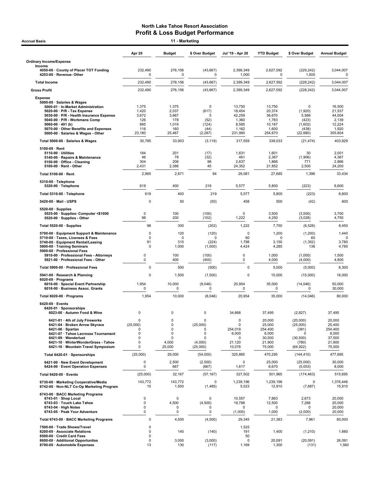| <b>Accrual Basis</b>                                                                                                                                                                                                                                             |                                                         | 11 - Marketing                                     |                                                            |                                                       |                                                                    |                                                                              |                                                                    |
|------------------------------------------------------------------------------------------------------------------------------------------------------------------------------------------------------------------------------------------------------------------|---------------------------------------------------------|----------------------------------------------------|------------------------------------------------------------|-------------------------------------------------------|--------------------------------------------------------------------|------------------------------------------------------------------------------|--------------------------------------------------------------------|
|                                                                                                                                                                                                                                                                  | Apr 20                                                  | <b>Budget</b>                                      | \$ Over Budget                                             | Jul '19 - Apr 20                                      | <b>YTD Budget</b>                                                  | \$ Over Budget                                                               | <b>Annual Budget</b>                                               |
| <b>Ordinary Income/Expense</b>                                                                                                                                                                                                                                   |                                                         |                                                    |                                                            |                                                       |                                                                    |                                                                              |                                                                    |
| Income<br>4050-00 County of Placer TOT Funding<br>4253-00 · Revenue- Other                                                                                                                                                                                       | 232,490<br>0                                            | 276,156<br>0                                       | (43, 667)<br>0                                             | 2,398,349<br>1,000                                    | 2,627,592<br>0                                                     | (229, 242)<br>1,000                                                          | 3,044,007<br>0                                                     |
| <b>Total Income</b>                                                                                                                                                                                                                                              | 232,490                                                 | 276,156                                            | (43, 667)                                                  | 2,399,349                                             | 2,627,592                                                          | (228, 242)                                                                   | 3,044,007                                                          |
| <b>Gross Profit</b>                                                                                                                                                                                                                                              | 232,490                                                 | 276,156                                            | (43, 667)                                                  | 2,399,349                                             | 2,627,592                                                          | (228, 242)                                                                   | 3,044,007                                                          |
| <b>Expense</b><br>5000-00 · Salaries & Wages<br>5000-01 · In-Market Administration<br>5020-00 · P/R - Tax Expense<br>5030-00 · P/R - Health Insurance Expense<br>5040-00 · P/R - Workmans Comp<br>5060-00 $\cdot$ 401 (k)<br>5070-00 Other Benefits and Expenses | 1,375<br>1,420<br>3,672<br>126<br>895<br>116            | 1,375<br>2,037<br>3,667<br>178<br>1,019<br>160     | 0<br>(617)<br>5<br>(52)<br>(124)<br>(44)                   | 13,750<br>18,454<br>42,259<br>1,360<br>8,585<br>1,162 | 13,750<br>20,374<br>36,670<br>1,783<br>10,187<br>1,600             | 0<br>(1,920)<br>5,589<br>(423)<br>(1,602)<br>(438)                           | 16,500<br>21,537<br>44,004<br>2,139<br>12,224<br>1,920             |
| 5000-00 · Salaries & Wages - Other                                                                                                                                                                                                                               | 23,180                                                  | 25,467                                             | (2, 287)                                                   | 231,990                                               | 254,670                                                            | (22, 680)                                                                    | 305,604                                                            |
| Total 5000-00 · Salaries & Wages                                                                                                                                                                                                                                 | 30,785                                                  | 33,903                                             | (3, 119)                                                   | 317,559                                               | 339,033                                                            | (21, 474)                                                                    | 403,929                                                            |
| 5100-00 · Rent<br>$5110-00 \cdot$ Utilities<br>5140-00 · Repairs & Maintenance<br>5150-00 · Office - Cleaning<br>$5100-00 \cdot$ Rent - Other                                                                                                                    | 184<br>46<br>304<br>2,431                               | 201<br>78<br>206<br>2,386                          | (17)<br>(32)<br>98<br>45                                   | 1,631<br>461<br>2,637<br>24,352                       | 1,601<br>2,367<br>1,866<br>21,852                                  | 30<br>(1,906)<br>771<br>2,500                                                | 2,001<br>4,367<br>2,866<br>24,200                                  |
| Total 5100-00 · Rent                                                                                                                                                                                                                                             | 2,965                                                   | 2,871                                              | 94                                                         | 29,081                                                | 27,685                                                             | 1,396                                                                        | 33,434                                                             |
| 5310-00 · Telephone<br>5320-00 · Telephone                                                                                                                                                                                                                       | 619                                                     | 400                                                | 219                                                        | 5,577                                                 | 5,800                                                              | (223)                                                                        | 6,600                                                              |
| Total 5310-00 · Telephone                                                                                                                                                                                                                                        | 619                                                     | 400                                                | 219                                                        | 5,577                                                 | 5,800                                                              | (223)                                                                        | 6,600                                                              |
| 5420-00 Mail - USPS                                                                                                                                                                                                                                              | $\mathbf 0$                                             | 50                                                 | (50)                                                       | 458                                                   | 500                                                                | (42)                                                                         | 600                                                                |
| $5520-00 \cdot$ Supplies<br>5525-00 · Supplies- Computer <\$1000<br>5520-00 · Supplies - Other                                                                                                                                                                   | 0<br>98                                                 | 100<br>200                                         | (100)<br>(102)                                             | $\mathbf 0$<br>1,222                                  | 3,500<br>4,250                                                     | (3,500)<br>(3,028)                                                           | 3,700<br>4,750                                                     |
| Total 5520-00 · Supplies                                                                                                                                                                                                                                         | 98                                                      | 300                                                | (202)                                                      | 1,222                                                 | 7,750                                                              | (6, 528)                                                                     | 8,450                                                              |
| 5700-00 · Equipment Support & Maintenance<br>5710-00 · Taxes, Licenses & Fees<br>5740-00 · Equipment Rental/Leasing<br>5800-00 · Training Seminars<br>5900-00 · Professional Fees                                                                                | 0<br>0<br>91<br>0                                       | 120<br>0<br>315<br>1,000                           | (120)<br>0<br>(224)<br>(1,000)                             | $\mathbf 0$<br>60<br>1,798<br>4,424                   | 1,200<br>$\mathbf 0$<br>3,150<br>4,285                             | (1,200)<br>60<br>(1, 352)<br>138                                             | 1,440<br>3,780<br>4,785                                            |
| 5910-00 · Professional Fees - Attorneys<br>5921-00 · Professional Fees - Other                                                                                                                                                                                   | 0<br>0                                                  | 100<br>400                                         | (100)<br>(400)                                             | $\mathsf 0$<br>0                                      | 1,000<br>4,000                                                     | (1,000)<br>(4,000)                                                           | 1,500<br>4,800                                                     |
| Total 5900-00 · Professional Fees                                                                                                                                                                                                                                | $\mathbf 0$                                             | 500                                                | (500)                                                      | $\mathbf 0$                                           | 5,000                                                              | (5,000)                                                                      | 6,300                                                              |
| 5941-00 · Research & Planning<br>$6020-00 \cdot$ Programs<br>6016-00 · Special Event Partnership<br>6018-00 · Business Assoc. Grants                                                                                                                             | 0<br>1,954<br>0                                         | 1,500<br>10,000<br>0                               | (1,500)<br>(8,046)<br>0                                    | 0<br>20,954<br>0                                      | 15,000<br>35,000<br>0                                              | (15,000)<br>(14, 046)<br>0                                                   | 18,000<br>50,000<br>30,000                                         |
| Total 6020-00 · Programs                                                                                                                                                                                                                                         | 1,954                                                   | 10,000                                             | (8,046)                                                    | 20,954                                                | 35,000                                                             | (14, 046)                                                                    | 80,000                                                             |
| $6420-00 \cdot$ Events<br>6420-01 · Sponsorships<br>6023-00 · Autumn Food & Wine                                                                                                                                                                                 | $\mathbf 0$                                             | $\mathbf 0$                                        | 0                                                          | 34,668                                                | 37,495                                                             | (2,827)                                                                      | 37,495                                                             |
| 6421-01 · 4th of July Fireworks<br>6421-04 · Broken Arrow Skyrace<br>$6421-06 \cdot$ Spartan<br>6421-07 · Tahoe Lacrosse Tournament<br>6421-09 · Wanderlust<br>6421-10 · WinterWonderGrass - Tahoe<br>6421-16 · Mountain Travel Symposium                        | 0<br>(25,000)<br>$\Omega$<br>$\mathbf 0$<br>0<br>0<br>0 | $\mathbf 0$<br>0<br>0<br>0<br>0<br>4,000<br>25,000 | 0<br>(25,000)<br>0<br>0<br>$\Omega$<br>(4,000)<br>(25,000) | 0<br>0<br>254,019<br>6,000<br>0<br>21,120<br>10,078   | 20,000<br>25,000<br>254,400<br>6,000<br>30,500<br>21,900<br>75,000 | (20,000)<br>(25,000)<br>(381)<br>$\Omega$<br>(30, 500)<br>(780)<br>(64, 922) | 20,000<br>25,400<br>254,400<br>6,000<br>37,500<br>21,900<br>75,000 |
| Total 6420-01 · Sponsorships                                                                                                                                                                                                                                     | (25,000)                                                | 29,000                                             | (54,000)                                                   | 325,885                                               | 470,295                                                            | (144, 410)                                                                   | 477,695                                                            |
| 6421-00 · New Event Development<br>6424-00 · Event Operation Expenses                                                                                                                                                                                            | 0<br>0                                                  | 2,500<br>667                                       | (2,500)<br>(667)                                           | 0<br>1,617                                            | 25,000<br>6,670                                                    | (25,000)<br>(5,053)                                                          | 30,000<br>8,000                                                    |
| Total 6420-00 · Events                                                                                                                                                                                                                                           | (25,000)                                                | 32,167                                             | (57, 167)                                                  | 327,502                                               | 501,965                                                            | (174, 463)                                                                   | 515,695                                                            |
| 6730-00 · Marketing Cooperative/Media<br>6742-00 · Non-NLT Co-Op Marketing Program                                                                                                                                                                               | 143,772<br>15                                           | 143,772<br>1,500                                   | 0<br>(1, 485)                                              | 1,239,196<br>5,023                                    | 1,239,196<br>12,910                                                | 0<br>(7, 887)                                                                | 1,376,446<br>15,910                                                |
| 6743-00 · BACC Marketing Programs<br>6743-01 · Shop Local<br>6743-03 · Touch Lake Tahoe<br>$6743-04 \cdot$ High Notes<br>6743-05 · Peak Your Adventure                                                                                                           | 0<br>0<br>0<br>0                                        | $\Omega$<br>4,500<br>0<br>0                        | 0<br>(4,500)<br>0<br>0                                     | 10,557<br>19,788<br>0<br>(1,000)                      | 7,883<br>12,500<br><sup>0</sup><br>1,000                           | 2,673<br>7,288<br><sup>0</sup><br>(2,000)                                    | 20,000<br>20,000<br>20,000<br>20,000                               |
| Total 6743-00 · BACC Marketing Programs                                                                                                                                                                                                                          | 0                                                       | 4,500                                              | (4,500)                                                    | 29,345                                                | 21,383                                                             | 7,961                                                                        | 80,000                                                             |
| 7500-00 · Trade Shows/Travel<br>8200-00 · Associate Relations<br>8500-00 · Credit Card Fees                                                                                                                                                                      | 0<br>0<br>0                                             | 140                                                | (140)                                                      | 1,525<br>191<br>50                                    | 1,400                                                              | (1, 210)                                                                     | 1,660                                                              |
| 8600-00 · Additional Opportunites<br>8700-00 · Automobile Expenses                                                                                                                                                                                               | 0<br>13                                                 | 3,000<br>130                                       | (3,000)<br>(117)                                           | 0<br>1,169                                            | 20,091<br>1,300                                                    | (20, 091)<br>(131)                                                           | 26,091<br>1,560                                                    |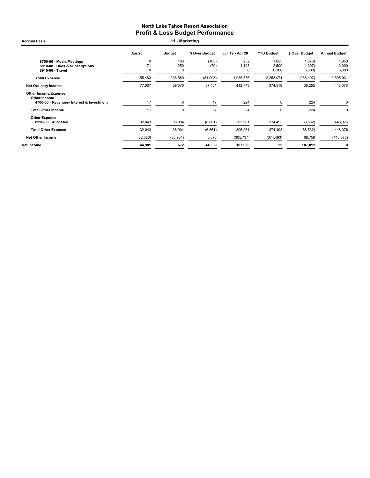Accrual Basis **11 - Marketing** 

|                                                                                          | <b>Apr 20</b>               | <b>Budget</b>             | \$ Over Budget     | Jul '19 - Apr 20 | <b>YTD Budget</b>       | \$ Over Budget                  | <b>Annual Budget</b>    |
|------------------------------------------------------------------------------------------|-----------------------------|---------------------------|--------------------|------------------|-------------------------|---------------------------------|-------------------------|
| 8750-00 · Meals/Meetings<br>8810-00 Dues & Subscriptions<br>8910-00 · Travel             | $\Omega$<br>171<br>$\Omega$ | 163<br>250<br>$\mathbf 0$ | (163)<br>(79)<br>C | 252<br>1,193     | 1,625<br>2,500<br>6,300 | (1, 373)<br>(1, 307)<br>(6,300) | 1,950<br>3,000<br>6,300 |
| <b>Total Expense</b>                                                                     | 155,483                     | 236,580                   | (81,098)           | 1,986,576        | 2,253,074               | (266, 497)                      | 2,595,931               |
| <b>Net Ordinary Income</b>                                                               | 77,007                      | 39,576                    | 37,431             | 412,773          | 374,518                 | 38,255                          | 448,076                 |
| <b>Other Income/Expense</b><br>Other Income<br>4700-00 · Revenues- Interest & Investment | 17                          | $\mathbf 0$               | 17                 | 224              | $\mathbf 0$             | 224                             | 0                       |
| <b>Total Other Income</b>                                                                | 17                          | 0                         | 17                 | 224              | 0                       | 224                             | $\mathbf 0$             |
| <b>Other Expense</b><br>8990-00 · Allocated                                              | 32,043                      | 38,904                    | (6,861)            | 305,961          | 374,493                 | (68, 532)                       | 448,076                 |
| <b>Total Other Expense</b>                                                               | 32,043                      | 38,904                    | (6, 861)           | 305,961          | 374,493                 | (68, 532)                       | 448,076                 |
| <b>Net Other Income</b>                                                                  | (32,026)                    | (38,904)                  | 6,878              | (305, 737)       | (374, 493)              | 68,756                          | (448,076)               |
| Net Income                                                                               | 44,981                      | 672                       | 44,309             | 107,036          | 25                      | 107,011                         | $\mathbf{0}$            |
|                                                                                          |                             |                           |                    |                  |                         |                                 |                         |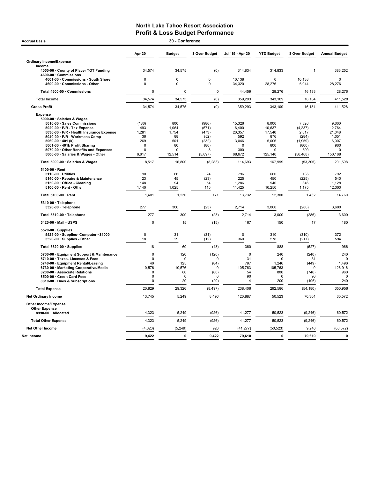| 30 - Conference<br><b>Accrual Basis</b>                                                                                                                                                                                                                                                                                                                                                                                                                                                                                                                                         |                                                                                                                   |                                                                                                                        |                                                                                                                        |                                                                                                                                       |                                                                                                                               |                                                                                                                                            |                                                                                                                                             |
|---------------------------------------------------------------------------------------------------------------------------------------------------------------------------------------------------------------------------------------------------------------------------------------------------------------------------------------------------------------------------------------------------------------------------------------------------------------------------------------------------------------------------------------------------------------------------------|-------------------------------------------------------------------------------------------------------------------|------------------------------------------------------------------------------------------------------------------------|------------------------------------------------------------------------------------------------------------------------|---------------------------------------------------------------------------------------------------------------------------------------|-------------------------------------------------------------------------------------------------------------------------------|--------------------------------------------------------------------------------------------------------------------------------------------|---------------------------------------------------------------------------------------------------------------------------------------------|
|                                                                                                                                                                                                                                                                                                                                                                                                                                                                                                                                                                                 | Apr 20                                                                                                            | <b>Budget</b>                                                                                                          | \$ Over Budget                                                                                                         | Jul '19 - Apr 20                                                                                                                      | <b>YTD Budget</b>                                                                                                             | \$ Over Budget                                                                                                                             | <b>Annual Budget</b>                                                                                                                        |
| <b>Ordinary Income/Expense</b>                                                                                                                                                                                                                                                                                                                                                                                                                                                                                                                                                  |                                                                                                                   |                                                                                                                        |                                                                                                                        |                                                                                                                                       |                                                                                                                               |                                                                                                                                            |                                                                                                                                             |
| Income<br>4050-00 County of Placer TOT Funding<br>4600-00 · Commissions                                                                                                                                                                                                                                                                                                                                                                                                                                                                                                         | 34,574                                                                                                            | 34,575                                                                                                                 | (0)                                                                                                                    | 314,834                                                                                                                               | 314,833                                                                                                                       | 1                                                                                                                                          | 383,252                                                                                                                                     |
| 4601-00 Commissions - South Shore<br>4600-00 Commissions - Other                                                                                                                                                                                                                                                                                                                                                                                                                                                                                                                | $\pmb{0}$<br>0                                                                                                    | $\pmb{0}$<br>0                                                                                                         | $\mathbf 0$<br>0                                                                                                       | 10,138<br>34,320                                                                                                                      | $\Omega$<br>28,276                                                                                                            | 10,138<br>6,044                                                                                                                            | $\pmb{0}$<br>28,276                                                                                                                         |
| Total 4600-00 · Commissions                                                                                                                                                                                                                                                                                                                                                                                                                                                                                                                                                     | $\mathbf 0$                                                                                                       | $\mathbf 0$                                                                                                            | $\pmb{0}$                                                                                                              | 44,459                                                                                                                                | 28,276                                                                                                                        | 16,183                                                                                                                                     | 28,276                                                                                                                                      |
| <b>Total Income</b>                                                                                                                                                                                                                                                                                                                                                                                                                                                                                                                                                             | 34,574                                                                                                            | 34,575                                                                                                                 | (0)                                                                                                                    | 359,293                                                                                                                               | 343,109                                                                                                                       | 16,184                                                                                                                                     | 411,528                                                                                                                                     |
| <b>Gross Profit</b>                                                                                                                                                                                                                                                                                                                                                                                                                                                                                                                                                             | 34,574                                                                                                            | 34,575                                                                                                                 | (0)                                                                                                                    | 359,293                                                                                                                               | 343,109                                                                                                                       | 16,184                                                                                                                                     | 411,528                                                                                                                                     |
| <b>Expense</b><br>5000-00 · Salaries & Wages<br>5010-00 · Sales Commissions<br>5020-00 · P/R - Tax Expense<br>5030-00 · P/R - Health Insurance Expense<br>5040-00 · P/R - Workmans Comp<br>5060-00 $\cdot$ 401 (k)<br>5061-00 · 401k Profit Sharing<br>5070-00 · Other Benefits and Expenses<br>5000-00 · Salaries & Wages - Other<br>Total 5000-00 · Salaries & Wages<br>5100-00 · Rent<br>5110-00 · Utilities<br>5140-00 · Repairs & Maintenance<br>5150-00 Office - Cleaning<br>5100-00 · Rent - Other<br>Total 5100-00 · Rent<br>5310-00 · Telephone<br>5320-00 · Telephone | (186)<br>493<br>1,281<br>36<br>269<br>$\Omega$<br>8<br>6,617<br>8,517<br>90<br>23<br>148<br>1,140<br>1,401<br>277 | 800<br>1,064<br>1,754<br>88<br>501<br>80<br>$\mathbf 0$<br>12,514<br>16,800<br>66<br>45<br>94<br>1,025<br>1,230<br>300 | (986)<br>(571)<br>(473)<br>(52)<br>(232)<br>(80)<br>8<br>(5,897)<br>(8, 283)<br>24<br>(23)<br>54<br>115<br>171<br>(23) | 15,326<br>6,400<br>20,357<br>592<br>3,046<br>$\Omega$<br>300<br>68,672<br>114,693<br>796<br>225<br>1,286<br>11,425<br>13,732<br>2,714 | 8,000<br>10,637<br>17,540<br>876<br>5,006<br>800<br>0<br>125,140<br>167,999<br>660<br>450<br>940<br>10,250<br>12,300<br>3,000 | 7,326<br>(4, 237)<br>2,817<br>(284)<br>(1,959)<br>(800)<br>300<br>(56, 468)<br>(53, 305)<br>136<br>(225)<br>346<br>1,175<br>1,432<br>(286) | 9,600<br>12,764<br>21,048<br>1,051<br>6,007<br>960<br>$\mathbf 0$<br>150,168<br>201,598<br>792<br>540<br>1,128<br>12,300<br>14,760<br>3,600 |
| Total 5310-00 · Telephone                                                                                                                                                                                                                                                                                                                                                                                                                                                                                                                                                       | 277                                                                                                               | 300                                                                                                                    | (23)                                                                                                                   | 2,714                                                                                                                                 | 3,000                                                                                                                         | (286)                                                                                                                                      | 3,600                                                                                                                                       |
| 5420-00 · Mail - USPS                                                                                                                                                                                                                                                                                                                                                                                                                                                                                                                                                           | $\pmb{0}$                                                                                                         | 15                                                                                                                     | (15)                                                                                                                   | 167                                                                                                                                   | 150                                                                                                                           | 17                                                                                                                                         | 180                                                                                                                                         |
| 5520-00 · Supplies<br>5525-00 · Supplies- Computer <\$1000<br>5520-00 · Supplies - Other                                                                                                                                                                                                                                                                                                                                                                                                                                                                                        | $\mathbf 0$<br>18                                                                                                 | 31<br>29                                                                                                               | (31)<br>(12)                                                                                                           | $\mathbf 0$<br>360                                                                                                                    | 310<br>578                                                                                                                    | (310)<br>(217)                                                                                                                             | 372<br>594                                                                                                                                  |
| Total 5520-00 · Supplies                                                                                                                                                                                                                                                                                                                                                                                                                                                                                                                                                        | 18                                                                                                                | 60                                                                                                                     | (43)                                                                                                                   | 360                                                                                                                                   | 888                                                                                                                           | (527)                                                                                                                                      | 966                                                                                                                                         |
| 5700-00 · Equipment Support & Maintenance<br>5710-00 · Taxes, Licenses & Fees<br>5740-00 · Equipment Rental/Leasing<br>6730-00 · Marketing Cooperative/Media<br>8200-00 · Associate Relations<br>8500-00 · Credit Card Fees<br>8810-00 · Dues & Subscriptions                                                                                                                                                                                                                                                                                                                   | $\pmb{0}$<br>$\mathbf 0$<br>40<br>10,576<br>$\mathbf 0$<br>$\Omega$<br>$\mathbf 0$                                | 120<br>$\mathbf 0$<br>125<br>10,576<br>80<br>$\mathbf 0$<br>20                                                         | (120)<br>$\mathbf 0$<br>(84)<br>0<br>(80)<br>$\Omega$<br>(20)                                                          | 0<br>31<br>797<br>105,763<br>54<br>90<br>4                                                                                            | 240<br>$\mathbf 0$<br>1,246<br>105,763<br>800<br>$\Omega$<br>200                                                              | (240)<br>31<br>(449)<br>0<br>(746)<br>90<br>(196)                                                                                          | 240<br>$\Omega$<br>1,496<br>126,916<br>960<br>C<br>240                                                                                      |
| <b>Total Expense</b>                                                                                                                                                                                                                                                                                                                                                                                                                                                                                                                                                            | 20.829                                                                                                            | 29,326                                                                                                                 | (8, 497)                                                                                                               | 238,406                                                                                                                               | 292,586                                                                                                                       | (54, 180)                                                                                                                                  | 350,956                                                                                                                                     |
| <b>Net Ordinary Income</b>                                                                                                                                                                                                                                                                                                                                                                                                                                                                                                                                                      | 13,745                                                                                                            | 5,249                                                                                                                  | 8,496                                                                                                                  | 120,887                                                                                                                               | 50,523                                                                                                                        | 70,364                                                                                                                                     | 60,572                                                                                                                                      |
| Other Income/Expense<br><b>Other Expense</b><br>8990-00 · Allocated                                                                                                                                                                                                                                                                                                                                                                                                                                                                                                             | 4,323                                                                                                             | 5,249                                                                                                                  | (926)                                                                                                                  | 41,277                                                                                                                                | 50,523                                                                                                                        | (9, 246)                                                                                                                                   | 60,572                                                                                                                                      |
| <b>Total Other Expense</b>                                                                                                                                                                                                                                                                                                                                                                                                                                                                                                                                                      | 4,323                                                                                                             | 5,249                                                                                                                  | (926)                                                                                                                  | 41,277                                                                                                                                | 50,523                                                                                                                        | (9, 246)                                                                                                                                   | 60,572                                                                                                                                      |
| <b>Net Other Income</b>                                                                                                                                                                                                                                                                                                                                                                                                                                                                                                                                                         | (4, 323)                                                                                                          | (5, 249)                                                                                                               | 926                                                                                                                    | (41, 277)                                                                                                                             | (50, 523)                                                                                                                     | 9,246                                                                                                                                      | (60, 572)                                                                                                                                   |
| Net Income                                                                                                                                                                                                                                                                                                                                                                                                                                                                                                                                                                      | 9,422                                                                                                             | $\Omega$                                                                                                               | 9,422                                                                                                                  | 79,610                                                                                                                                | $\mathbf{0}$                                                                                                                  | 79,610                                                                                                                                     | $\mathbf{0}$                                                                                                                                |
|                                                                                                                                                                                                                                                                                                                                                                                                                                                                                                                                                                                 |                                                                                                                   |                                                                                                                        |                                                                                                                        |                                                                                                                                       |                                                                                                                               |                                                                                                                                            |                                                                                                                                             |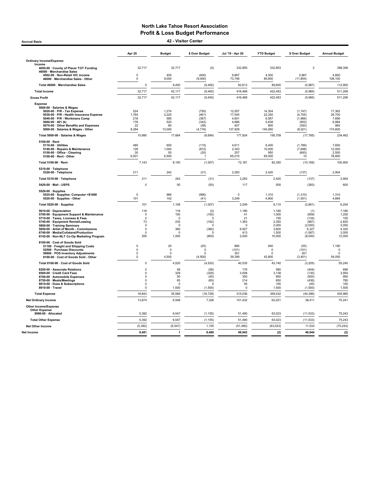Accrual Basis 42 - Visitor Center

|                                                                                                                                                                                                                                                                                                               | Apr 20                                                                          | <b>Budget</b>                                                         | \$ Over Budget                                                              | Jul '19 - Apr 20                                                | <b>YTD Budget</b>                                                   | \$ Over Budget                                                           | <b>Annual Budget</b>                                                |
|---------------------------------------------------------------------------------------------------------------------------------------------------------------------------------------------------------------------------------------------------------------------------------------------------------------|---------------------------------------------------------------------------------|-----------------------------------------------------------------------|-----------------------------------------------------------------------------|-----------------------------------------------------------------|---------------------------------------------------------------------|--------------------------------------------------------------------------|---------------------------------------------------------------------|
| <b>Ordinary Income/Expense</b>                                                                                                                                                                                                                                                                                |                                                                                 |                                                                       |                                                                             |                                                                 |                                                                     |                                                                          |                                                                     |
| Income<br>4050-00 · County of Placer TOT Funding                                                                                                                                                                                                                                                              | 32,717                                                                          | 32,717                                                                | (0)                                                                         | 332,855                                                         | 332,853                                                             | $\overline{c}$                                                           | 398,306                                                             |
| 46000 · Merchandise Sales                                                                                                                                                                                                                                                                                     |                                                                                 |                                                                       |                                                                             |                                                                 |                                                                     |                                                                          |                                                                     |
| 4502-00 · Non-Retail VIC income<br>46000 · Merchandise Sales - Other                                                                                                                                                                                                                                          | 0<br>0                                                                          | 400<br>9,000                                                          | (400)<br>(9,000)                                                            | 9,867<br>73,746                                                 | 4,000<br>85,600                                                     | 5,867<br>(11, 854)                                                       | 4,800<br>108,100                                                    |
| Total 46000 · Merchandise Sales                                                                                                                                                                                                                                                                               | $\Omega$                                                                        | 9,400                                                                 | (9,400)                                                                     | 83,613                                                          | 89,600                                                              | (5,987)                                                                  | 112,900                                                             |
| <b>Total Income</b>                                                                                                                                                                                                                                                                                           | 32,717                                                                          | 42,117                                                                | (9,400)                                                                     | 416,468                                                         | 422,453                                                             | (5,985)                                                                  | 511,206                                                             |
| <b>Gross Profit</b>                                                                                                                                                                                                                                                                                           | 32,717                                                                          | 42,117                                                                | (9,400)                                                                     | 416,468                                                         | 422,453                                                             | (5,985)                                                                  | 511,206                                                             |
| <b>Expense</b><br>5000-00 · Salaries & Wages<br>5020-00 · P/R - Tax Expense<br>5030-00 · P/R - Health Insurance Expense<br>5040-00 · P/R - Workmans Comp<br>5060-00 $\cdot$ 401 (k)<br>5070-00 Other Benefits and Expenses<br>5000-00 · Salaries & Wages - Other                                              | 524<br>1,764<br>218<br>178<br>22<br>8,284                                       | 1,274<br>2,225<br>585<br>520<br>80<br>13,000                          | (750)<br>(461)<br>(367)<br>(342)<br>(58)<br>(4, 716)                        | 12,557<br>17,545<br>4,601<br>4.886<br>407<br>137,929            | 14,304<br>22,250<br>6,567<br>5,838<br>800<br>145,950                | (1,747)<br>(4,705)<br>(1,966)<br>(952)<br>(393)<br>(8,021)               | 17,362<br>26,700<br>7,856<br>6,984<br>960<br>174,600                |
| Total 5000-00 · Salaries & Wages                                                                                                                                                                                                                                                                              | 10,990                                                                          | 17,684                                                                | (6,694)                                                                     | 177,924                                                         | 195,709                                                             | (17, 785)                                                                | 234,462                                                             |
| 5100-00 · Rent                                                                                                                                                                                                                                                                                                |                                                                                 |                                                                       |                                                                             |                                                                 |                                                                     |                                                                          |                                                                     |
| 5110-00 · Utilities<br>5140-00 · Repairs & Maintenance<br>5150-00 · Office - Cleaning<br>5100-00 · Rent - Other                                                                                                                                                                                               | 485<br>128<br>30<br>6,501                                                       | 600<br>1,000<br>50<br>6,500                                           | (115)<br>(872)<br>(20)                                                      | 4.611<br>2,303<br>257<br>65,010                                 | 6.400<br>10,000<br>950<br>65,000                                    | (1,789)<br>(7,698)<br>(693)<br>10                                        | 7.600<br>12,000<br>2,500<br>78,800                                  |
| Total 5100-00 · Rent                                                                                                                                                                                                                                                                                          | 7,143                                                                           | 8,150                                                                 | (1,007)                                                                     | 72,181                                                          | 82,350                                                              | (10, 169)                                                                | 100,900                                                             |
| 5310-00 · Telephone<br>5320-00 · Telephone                                                                                                                                                                                                                                                                    | 211                                                                             | 242                                                                   | (31)                                                                        | 2,283                                                           | 2,420                                                               | (137)                                                                    | 2,904                                                               |
| Total 5310-00 · Telephone                                                                                                                                                                                                                                                                                     | 211                                                                             | 242                                                                   | (31)                                                                        | 2,283                                                           | 2,420                                                               | (137)                                                                    | 2,904                                                               |
| 5420-00 · Mail - USPS                                                                                                                                                                                                                                                                                         | $\Omega$                                                                        | 50                                                                    | (50)                                                                        | 117                                                             | 500                                                                 | (383)                                                                    | 600                                                                 |
| 5520-00 · Supplies<br>5525-00 · Supplies- Computer <\$1000<br>5520-00 · Supplies - Other                                                                                                                                                                                                                      | $\Omega$<br>101                                                                 | 966<br>142                                                            | (966)<br>(41)                                                               | $\Omega$<br>3,249                                               | 1.310<br>4,800                                                      | (1,310)<br>(1, 551)                                                      | 1.310<br>4,894                                                      |
| Total 5520-00 · Supplies                                                                                                                                                                                                                                                                                      | 101                                                                             | 1,108                                                                 | (1,007)                                                                     | 3,249                                                           | 6,110                                                               | (2,861)                                                                  | 6,204                                                               |
| 5610-00 · Depreciation<br>5700-00 · Equipment Support & Maintenance<br>5710-00 · Taxes. Licenses & Fees<br>5740-00 · Equipment Rental/Leasing<br>5800-00 · Training Seminars<br>5850-00 · Artist of Month - Commissions<br>6740-00 · Media/Collateral/Production<br>6742-00 · Non-NLT Co-Op Marketing Program | 118<br>$\Omega$<br>$\Omega$<br>73<br>$\Omega$<br>$\mathbf 0$<br>$\Omega$<br>200 | 118<br>100<br>$\Omega$<br>235<br>$\Omega$<br>360<br>$\Omega$<br>1,000 | (0)<br>(100)<br>$\Omega$<br>(162)<br>$\Omega$<br>(360)<br>$\Omega$<br>(800) | 1,180<br>41<br>21<br>1,363<br>$\Omega$<br>9,927<br>413<br>2,000 | 1,180<br>1,000<br>155<br>2,350<br>2,000<br>3,600<br>1,500<br>10,000 | (1)<br>(959)<br>(134)<br>(987)<br>(2,000)<br>6,327<br>(1,087)<br>(8,000) | 1,180<br>1,200<br>155<br>2,820<br>3,000<br>4,320<br>3,000<br>12,000 |
| 8100-00 · Cost of Goods Sold<br>51100 · Freight and Shipping Costs<br>52500 · Purchase Discounts<br>59900 · POS Inventory Adjustments<br>8100-00 Cost of Goods Sold - Other                                                                                                                                   | 0<br>$\mathbf 0$<br>$\mathbf 0$<br>$\mathsf 0$                                  | 20<br>$\mathsf 0$<br>$\mathbf 0$<br>4,500                             | (20)<br>$\Omega$<br>$\Omega$<br>(4,500)                                     | 885<br>(101)<br>351<br>39,399                                   | 940<br>$\Omega$<br>$\Omega$<br>42,800                               | (55)<br>(101)<br>351<br>(3, 401)                                         | 1,190<br>$\pmb{0}$<br>$\mathbf 0$<br>54,050                         |
| Total 8100-00 · Cost of Goods Sold                                                                                                                                                                                                                                                                            | $\mathbf 0$                                                                     | 4,520                                                                 | (4,520)                                                                     | 40,535                                                          | 43,740                                                              | (3, 205)                                                                 | 55,240                                                              |
| 8200-00 · Associate Relations<br>8500-00 Credit Card Fees<br>8700-00 · Automobile Expenses<br>8750-00 · Meals/Meetings<br>8810-00 · Dues & Subscriptions<br>8910-00 · Travel                                                                                                                                  | $\mathbf 0$<br>$\Omega$<br>5<br>$\mathbf 0$<br>0<br>0                           | 58<br>329<br>50<br>65<br>$\Omega$<br>1,500                            | (58)<br>(329)<br>(45)<br>(65)<br>$\Omega$<br>(1,500)                        | 176<br>3,008<br>350<br>214<br>55<br>$\circ$                     | 580<br>3,138<br>850<br>650<br>100<br>1,500                          | (404)<br>(130)<br>(500)<br>(436)<br>(45)<br>(1,500)                      | 696<br>3,954<br>950<br>780<br>100<br>1,500                          |
| <b>Total Expense</b>                                                                                                                                                                                                                                                                                          | 18,843                                                                          | 35,569                                                                | (16, 726)                                                                   | 315,036                                                         | 359,432                                                             | (44, 396)                                                                | 435,965                                                             |
| <b>Net Ordinary Income</b>                                                                                                                                                                                                                                                                                    | 13,874                                                                          | 6,548                                                                 | 7,326                                                                       | 101,432                                                         | 63,021                                                              | 38,411                                                                   | 75,241                                                              |
| <b>Other Income/Expense</b><br><b>Other Expense</b><br>8990-00 · Allocated                                                                                                                                                                                                                                    | 5,392                                                                           | 6,547                                                                 | (1, 155)                                                                    | 51,490                                                          | 63,023                                                              | (11, 533)                                                                | 75,243                                                              |
| <b>Total Other Expense</b>                                                                                                                                                                                                                                                                                    | 5,392                                                                           | 6,547                                                                 | (1, 155)                                                                    | 51,490                                                          | 63,023                                                              | (11, 533)                                                                | 75,243                                                              |
| <b>Net Other Income</b>                                                                                                                                                                                                                                                                                       | (5, 392)                                                                        | (6, 547)                                                              | 1,155                                                                       | (51, 490)                                                       | (63, 023)                                                           | 11,533                                                                   | (75, 243)                                                           |
| Net Income                                                                                                                                                                                                                                                                                                    | 8,481                                                                           | $\mathbf{1}$                                                          | 8,480                                                                       | 49,942                                                          | (2)                                                                 | 49,944                                                                   | (2)                                                                 |
|                                                                                                                                                                                                                                                                                                               |                                                                                 |                                                                       |                                                                             |                                                                 |                                                                     |                                                                          |                                                                     |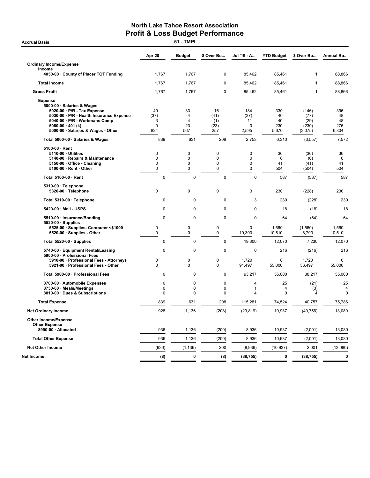**Accrual Basis** 

|                                                                                                                                                                                                                           | Apr 20                                         | <b>Budget</b>                           | \$ Over Bu                                | Jul '19 - A                                 | <b>YTD Budget</b>                 | \$ Over Bu                                | <b>Annual Bu</b>                    |
|---------------------------------------------------------------------------------------------------------------------------------------------------------------------------------------------------------------------------|------------------------------------------------|-----------------------------------------|-------------------------------------------|---------------------------------------------|-----------------------------------|-------------------------------------------|-------------------------------------|
| <b>Ordinary Income/Expense</b>                                                                                                                                                                                            |                                                |                                         |                                           |                                             |                                   |                                           |                                     |
| Income<br>4050-00 · County of Placer TOT Funding                                                                                                                                                                          | 1,767                                          | 1,767                                   | $\mathbf 0$                               | 85,462                                      | 85,461                            | $\mathbf{1}$                              | 88,866                              |
| <b>Total Income</b>                                                                                                                                                                                                       | 1,767                                          | 1,767                                   | $\mathbf 0$                               | 85,462                                      | 85,461                            | $\mathbf{1}$                              | 88,866                              |
| <b>Gross Profit</b>                                                                                                                                                                                                       | 1,767                                          | 1,767                                   | $\mathbf 0$                               | 85,462                                      | 85,461                            | $\mathbf{1}$                              | 88,866                              |
| <b>Expense</b><br>5000-00 · Salaries & Wages<br>5020-00 · P/R - Tax Expense<br>5030-00 · P/R - Health Insurance Expense<br>5040-00 · P/R - Workmans Comp<br>5060-00 $\cdot$ 401 (k)<br>5000-00 · Salaries & Wages - Other | 49<br>(37)<br>3<br>$\mathbf 0$<br>824          | 33<br>4<br>$\overline{4}$<br>23<br>567  | 16<br>(41)<br>(1)<br>(23)<br>257          | 184<br>(37)<br>11<br>$\Omega$<br>2,595      | 330<br>40<br>40<br>230<br>5,670   | (146)<br>(77)<br>(29)<br>(230)<br>(3,075) | 396<br>48<br>48<br>276<br>6,804     |
| Total 5000-00 · Salaries & Wages                                                                                                                                                                                          | 839                                            | 631                                     | 208                                       | 2,753                                       | 6,310                             | (3, 557)                                  | 7,572                               |
| 5100-00 · Rent<br>5110-00 · Utilities<br>5140-00 · Repairs & Maintenance<br>5150-00 · Office - Cleaning<br>5100-00 · Rent - Other                                                                                         | $\mathbf 0$<br>$\mathbf 0$<br>$\mathbf 0$<br>0 | $\mathbf 0$<br>0<br>0<br>0              | $\mathbf 0$<br>0<br>$\mathbf 0$<br>0      | $\mathbf 0$<br>$\mathbf 0$<br>$\Omega$<br>0 | 36<br>6<br>41<br>504              | (36)<br>(6)<br>(41)<br>(504)              | 36<br>6<br>41<br>504                |
| Total 5100-00 · Rent                                                                                                                                                                                                      | 0                                              | $\mathbf 0$                             | $\mathbf 0$                               | $\mathbf 0$                                 | 587                               | (587)                                     | 587                                 |
| 5310-00 · Telephone<br>5320-00 · Telephone                                                                                                                                                                                | $\pmb{0}$                                      | $\mathbf 0$                             | $\mathbf 0$                               | 3                                           | 230                               | (228)                                     | 230                                 |
| Total 5310-00 · Telephone                                                                                                                                                                                                 | 0                                              | 0                                       | $\mathbf 0$                               | 3                                           | 230                               | (228)                                     | 230                                 |
| 5420-00 · Mail - USPS                                                                                                                                                                                                     | 0                                              | $\Omega$                                | $\mathbf 0$                               | 0                                           | 18                                | (18)                                      | 18                                  |
| 5510-00 · Insurance/Bonding                                                                                                                                                                                               | $\Omega$                                       | $\Omega$                                | $\Omega$                                  | $\Omega$                                    | 64                                | (64)                                      | 64                                  |
| $5520-00 \cdot$ Supplies<br>5525-00 · Supplies- Computer <\$1000<br>5520-00 · Supplies - Other                                                                                                                            | 0<br>0                                         | 0<br>0                                  | 0<br>0                                    | $\mathbf 0$<br>19,300                       | 1,560<br>10,510                   | (1,560)<br>8,790                          | 1,560<br>10,510                     |
| Total 5520-00 · Supplies                                                                                                                                                                                                  | 0                                              | $\mathbf 0$                             | $\mathbf 0$                               | 19,300                                      | 12,070                            | 7,230                                     | 12,070                              |
| 5740-00 · Equipment Rental/Leasing                                                                                                                                                                                        | 0                                              | $\mathbf 0$                             | $\mathbf 0$                               | 0                                           | 216                               | (216)                                     | 216                                 |
| 5900-00 · Professional Fees<br>5910-00 · Professional Fees - Attorneys<br>5921-00 · Professional Fees - Other                                                                                                             | $\mathbf 0$<br>$\mathbf 0$                     | $\mathbf 0$<br>$\mathbf 0$              | $\mathbf 0$<br>0                          | 1.720<br>91,497                             | $\mathbf 0$<br>55,000             | 1.720<br>36,497                           | $\Omega$<br>55,000                  |
| Total 5900-00 · Professional Fees                                                                                                                                                                                         | 0                                              | 0                                       | $\mathbf 0$                               | 93,217                                      | 55,000                            | 38,217                                    | 55,000                              |
| 8700-00 · Automobile Expenses<br>8750-00 · Meals/Meetings<br>8810-00 · Dues & Subscriptions                                                                                                                               | 0<br>0<br>0                                    | $\mathbf 0$<br>$\mathbf 0$<br>$\pmb{0}$ | $\mathbf 0$<br>$\mathbf 0$<br>$\mathbf 0$ | 4<br>1<br>4                                 | 25<br>$\overline{4}$<br>$\pmb{0}$ | (21)<br>(3)<br>4                          | 25<br>$\overline{4}$<br>$\mathbf 0$ |
| <b>Total Expense</b>                                                                                                                                                                                                      | 839                                            | 631                                     | 208                                       | 115,281                                     | 74,524                            | 40,757                                    | 75,786                              |
| <b>Net Ordinary Income</b>                                                                                                                                                                                                | 928                                            | 1,136                                   | (208)                                     | (29, 819)                                   | 10,937                            | (40, 756)                                 | 13,080                              |
| <b>Other Income/Expense</b><br><b>Other Expense</b>                                                                                                                                                                       |                                                |                                         |                                           |                                             |                                   |                                           |                                     |
| 8990-00 · Allocated                                                                                                                                                                                                       | 936                                            | 1,136                                   | (200)                                     | 8,936                                       | 10,937                            | (2,001)                                   | 13,080                              |
| <b>Total Other Expense</b>                                                                                                                                                                                                | 936                                            | 1,136                                   | (200)                                     | 8,936                                       | 10,937                            | (2,001)                                   | 13,080                              |
| <b>Net Other Income</b>                                                                                                                                                                                                   | (936)                                          | (1, 136)                                | 200                                       | (8,936)                                     | (10, 937)                         | 2,001                                     | (13,080)                            |
| Net Income                                                                                                                                                                                                                | (8)                                            | $\mathbf 0$                             | (8)                                       | (38, 755)                                   | $\mathbf 0$                       | (38, 755)                                 | $\mathbf 0$                         |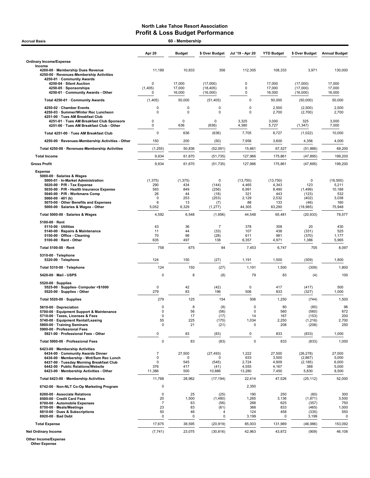| 60 - Membership<br><b>Accrual Basis</b>                                                                                                                                                                                                                                                                        |                                                        |                                                    |                                                         |                                                             |                                                             |                                                            |                                                              |  |  |  |
|----------------------------------------------------------------------------------------------------------------------------------------------------------------------------------------------------------------------------------------------------------------------------------------------------------------|--------------------------------------------------------|----------------------------------------------------|---------------------------------------------------------|-------------------------------------------------------------|-------------------------------------------------------------|------------------------------------------------------------|--------------------------------------------------------------|--|--|--|
|                                                                                                                                                                                                                                                                                                                | Apr 20                                                 | <b>Budget</b>                                      | \$ Over Budget                                          | Jul '19 - Apr 20                                            | <b>YTD Budget</b>                                           | \$ Over Budget                                             | <b>Annual Budget</b>                                         |  |  |  |
| <b>Ordinary Income/Expense</b>                                                                                                                                                                                                                                                                                 |                                                        |                                                    |                                                         |                                                             |                                                             |                                                            |                                                              |  |  |  |
| Income<br>4200-00 · Membership Dues Revenue<br>4250-00 · Revenues-Membership Activities<br>4250-01 · Community Awards                                                                                                                                                                                          | 11,189                                                 | 10,833                                             | 356                                                     | 112,305                                                     | 108,333                                                     | 3,971                                                      | 130,000                                                      |  |  |  |
| 4250-04 · Silent Auction<br>4250-05 · Sponsorships<br>4250-01 · Community Awards - Other                                                                                                                                                                                                                       | 0<br>(1, 405)<br>$\Omega$                              | 17,000<br>17,000<br>16,000                         | (17,000)<br>(18, 405)<br>(16,000)                       | 0<br>$\pmb{0}$<br>0                                         | 17,000<br>17,000<br>16,000                                  | (17,000)<br>(17,000)<br>(16,000)                           | 17,000<br>17,000<br>16,000                                   |  |  |  |
| Total 4250-01 · Community Awards                                                                                                                                                                                                                                                                               | (1, 405)                                               | 50,000                                             | (51, 405)                                               | 0                                                           | 50,000                                                      | (50,000)                                                   | 50,000                                                       |  |  |  |
| 4250-02 · Chamber Events<br>4250-03 · Summer/Winter Rec Luncheon<br>4251-00 · Tues AM Breakfast Club<br>4251-01 · Tues AM Breakfast Club Sponsors                                                                                                                                                              | 0<br>0<br>0                                            | 0<br>$\mathbf 0$<br>$\mathbf 0$                    | 0<br>0<br>$\Omega$                                      | 0<br>$\mathbf 0$<br>3,325                                   | 2,500<br>2,700<br>3,000                                     | (2,500)<br>(2,700)<br>325                                  | 2,500<br>2,700<br>3,000                                      |  |  |  |
| 4251-00 · Tues AM Breakfast Club - Other                                                                                                                                                                                                                                                                       | 0                                                      | 636                                                | (636)                                                   | 4,380                                                       | 5,727                                                       | (1, 347)                                                   | 7,000                                                        |  |  |  |
| Total 4251-00 · Tues AM Breakfast Club                                                                                                                                                                                                                                                                         | 0                                                      | 636                                                | (636)                                                   | 7,705                                                       | 8,727                                                       | (1,022)                                                    | 10,000                                                       |  |  |  |
| 4250-00 · Revenues-Membership Activities - Other                                                                                                                                                                                                                                                               | 150                                                    | 200                                                | (50)                                                    | 7,956                                                       | 3,600                                                       | 4,356                                                      | 4,000                                                        |  |  |  |
| Total 4250-00 · Revenues-Membership Activities                                                                                                                                                                                                                                                                 | (1, 255)                                               | 50,836                                             | (52,091)                                                | 15,661                                                      | 67,527                                                      | (51, 866)                                                  | 69,200                                                       |  |  |  |
| <b>Total Income</b>                                                                                                                                                                                                                                                                                            | 9,934                                                  | 61,670                                             | (51, 735)                                               | 127,966                                                     | 175,861                                                     | (47, 895)                                                  | 199,200                                                      |  |  |  |
| <b>Gross Profit</b>                                                                                                                                                                                                                                                                                            | 9,934                                                  | 61,670                                             | (51, 735)                                               | 127,966                                                     | 175,861                                                     | (47, 895)                                                  | 199,200                                                      |  |  |  |
| <b>Expense</b><br>5000-00 · Salaries & Wages<br>5000-01 · In-Market Administration<br>$5020-00 \cdot P/R$ - Tax Expense<br>5030-00 · P/R - Health Insurance Expense<br>5040-00 · P/R - Workmans Comp<br>5060-00 $\cdot$ 401 (k)<br>5070-00 · Other Benefits and Expenses<br>5000-00 · Salaries & Wages - Other | (1, 375)<br>290<br>593<br>26<br>$\Omega$<br>6<br>5,052 | (1, 375)<br>434<br>849<br>44<br>253<br>13<br>6,329 | 0<br>(144)<br>(256)<br>(18)<br>(253)<br>(7)<br>(1, 277) | (13, 750)<br>4,465<br>6,991<br>321<br>2,129<br>88<br>44,305 | (13,750)<br>4,343<br>8,490<br>443<br>2,532<br>133<br>63,290 | 0<br>123<br>(1,499)<br>(123)<br>(402)<br>(46)<br>(18, 985) | (16,500)<br>5,211<br>10,188<br>532<br>3,038<br>160<br>75,948 |  |  |  |
| Total 5000-00 · Salaries & Wages                                                                                                                                                                                                                                                                               | 4,592                                                  | 6,548                                              | (1,956)                                                 | 44,548                                                      | 65,481                                                      | (20, 933)                                                  | 78,577                                                       |  |  |  |
| $5100-00 \cdot$ Rent<br>$5110-00 \cdot$ Utilities<br>5140-00 · Repairs & Maintenance<br>5150-00 Office - Cleaning<br>$5100-00 \cdot$ Rent - Other                                                                                                                                                              | 43<br>11<br>70<br>635                                  | 36<br>44<br>98<br>497                              | $\overline{7}$<br>(33)<br>(28)<br>138                   | 378<br>107<br>611<br>6,357                                  | 358<br>438<br>981<br>4,971                                  | 20<br>(331)<br>(370)<br>1,386                              | 430<br>525<br>1,177<br>5,965                                 |  |  |  |
| Total 5100-00 · Rent                                                                                                                                                                                                                                                                                           | 758                                                    | 675                                                | 84                                                      | 7,453                                                       | 6,747                                                       | 705                                                        | 8,097                                                        |  |  |  |
| 5310-00 · Telephone<br>5320-00 · Telephone                                                                                                                                                                                                                                                                     | 124                                                    | 150                                                | (27)                                                    | 1,191                                                       | 1,500                                                       | (309)                                                      | 1,800                                                        |  |  |  |
| Total 5310-00 · Telephone                                                                                                                                                                                                                                                                                      | 124                                                    | 150                                                | (27)                                                    | 1,191                                                       | 1,500                                                       | (309)                                                      | 1,800                                                        |  |  |  |
| 5420-00 · Mail - USPS                                                                                                                                                                                                                                                                                          | 0                                                      | 8                                                  | (8)                                                     | 79                                                          | 83                                                          | (4)                                                        | 100                                                          |  |  |  |
| $5520-00 \cdot$ Supplies<br>5525-00 · Supplies- Computer <\$1000<br>5520-00 · Supplies - Other                                                                                                                                                                                                                 | $\mathbf 0$<br>279                                     | 42<br>83                                           | (42)<br>196                                             | 0<br>506                                                    | 417<br>833                                                  | (417)<br>(327)                                             | 500<br>1,000                                                 |  |  |  |
| Total 5520-00 · Supplies                                                                                                                                                                                                                                                                                       | 279                                                    | 125                                                | 154                                                     | 506                                                         | 1,250                                                       | (744)                                                      | 1,500                                                        |  |  |  |
| 5610-00 Depreciation<br>5700-00 · Equipment Support & Maintenance<br>5710-00 · Taxes, Licenses & Fees<br>5740-00 · Equipment Rental/Leasing<br>5800-00 · Training Seminars<br>5900-00 · Professional Fees<br>5921-00 · Professional Fees - Other                                                               | 0<br>0<br>0<br>55<br>0<br>0                            | 8<br>56<br>17<br>225<br>21<br>83                   | (8)<br>(56)<br>(17)<br>(170)<br>(21)<br>(83)            | $\mathbf 0$<br>0<br>14<br>1,034<br>0<br>0                   | 80<br>560<br>167<br>2,250<br>208<br>833                     | (80)<br>(560)<br>(153)<br>(1,216)<br>(208)<br>(833)        | 96<br>672<br>200<br>2,700<br>250<br>1,000                    |  |  |  |
| Total 5900-00 · Professional Fees                                                                                                                                                                                                                                                                              | $\mathbf 0$                                            | 83                                                 | (83)                                                    | $\mathbf 0$                                                 | 833                                                         | (833)                                                      | 1,000                                                        |  |  |  |
| 6423-00 · Membership Activities<br>6434-00 · Community Awards Dinner<br>6436-00 · Membership - Wnt/Sum Rec Lunch<br>6437-00 · Tuesday Morning Breakfast Club<br>6442-00 · Public Relations/Website<br>6423-00 · Membership Activities - Other                                                                  | $\overline{7}$<br>0<br>0<br>376<br>11,386              | 27,500<br>$\mathbf 0$<br>545<br>417<br>500         | (27, 493)<br>ŋ<br>(545)<br>(41)<br>10,886               | 1,222<br>633<br>2,724<br>4,555<br>13,280                    | 27,500<br>3,500<br>4,909<br>4,167<br>7,450                  | (26, 278)<br>(2,867)<br>(2, 185)<br>388<br>5,830           | 27,500<br>5,000<br>6,000<br>5,000<br>8,500                   |  |  |  |
| Total 6423-00 · Membership Activities                                                                                                                                                                                                                                                                          | 11,768                                                 | 28,962                                             | (17, 194)                                               | 22,414                                                      | 47,526                                                      | (25, 112)                                                  | 52,000                                                       |  |  |  |
| 6742-00 · Non-NLT Co-Op Marketing Program                                                                                                                                                                                                                                                                      | 0                                                      |                                                    |                                                         | 2,350                                                       |                                                             |                                                            |                                                              |  |  |  |
| 8200-00 · Associate Relations<br>8500-00 Credit Card Fees<br>8700-00 · Automobile Expenses<br>8750-00 · Meals/Meetings<br>8810-00 · Dues & Subscriptions<br>8920-00 · Bad Debt                                                                                                                                 | 0<br>20<br>$\overline{7}$<br>23<br>50<br>0             | 25<br>1,500<br>63<br>83<br>46<br>0                 | (25)<br>(1,480)<br>(56)<br>(61)<br>4<br>0               | 190<br>1,265<br>268<br>368<br>124<br>3,199                  | 250<br>3,136<br>625<br>833<br>458<br>0                      | (60)<br>(1,871)<br>(357)<br>(465)<br>(335)<br>3,199        | 300<br>3,500<br>750<br>1,000<br>550<br>0                     |  |  |  |
| <b>Total Expense</b>                                                                                                                                                                                                                                                                                           | 17,675                                                 | 38,595                                             | (20, 919)                                               | 85,003                                                      | 131,989                                                     | (46, 986)                                                  | 153,092                                                      |  |  |  |
| <b>Net Ordinary Income</b>                                                                                                                                                                                                                                                                                     | (7, 741)                                               | 23,075                                             | (30, 816)                                               | 42,963                                                      | 43,872                                                      | (909)                                                      | 46,108                                                       |  |  |  |

Other Income/Expense Other Expense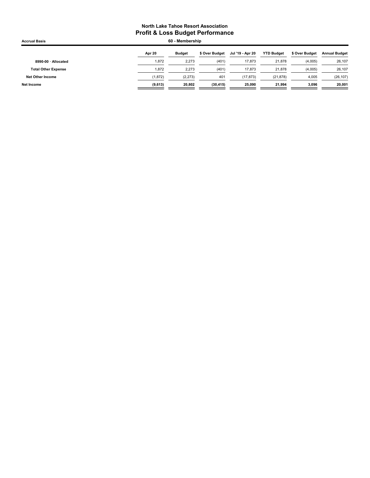| <b>Accrual Basis</b>       | 60 - Membership |               |                |                  |                   |                |                      |
|----------------------------|-----------------|---------------|----------------|------------------|-------------------|----------------|----------------------|
|                            | Apr 20          | <b>Budget</b> | \$ Over Budget | Jul '19 - Apr 20 | <b>YTD Budget</b> | \$ Over Budget | <b>Annual Budget</b> |
| 8990-00 · Allocated        | 1,872           | 2,273         | (401)          | 17.873           | 21,878            | (4,005)        | 26,107               |
| <b>Total Other Expense</b> | 1.872           | 2.273         | (401)          | 17.873           | 21,878            | (4,005)        | 26,107               |
| Net Other Income           | (1, 872)        | (2, 273)      | 401            | (17, 873)        | (21, 878)         | 4,005          | (26, 107)            |
| Net Income                 | (9,613)         | 20.802        | (30, 415)      | 25.090           | 21.994            | 3,096          | 20,001               |